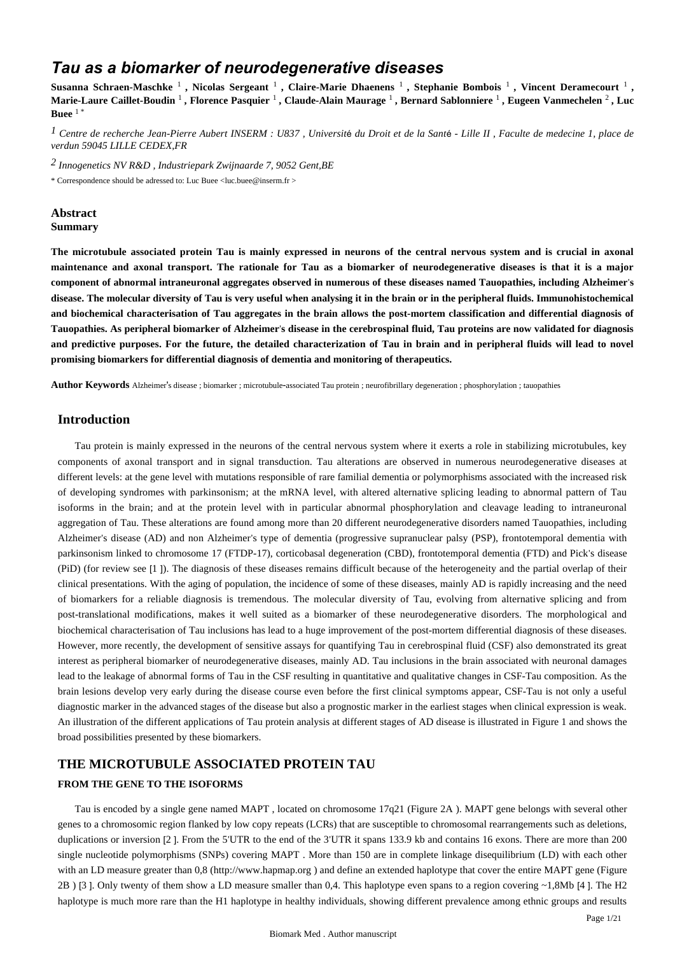# *Tau as a biomarker of neurodegenerative diseases*

Susanna Schraen-Maschke <sup>1</sup>, Nicolas Sergeant <sup>1</sup>, Claire-Marie Dhaenens <sup>1</sup>, Stephanie Bombois <sup>1</sup>, Vincent Deramecourt <sup>1</sup>, **Marie-Laure Caillet-Boudin** <sup>1</sup> **, Florence Pasquier** <sup>1</sup> **, Claude-Alain Maurage** <sup>1</sup> **, Bernard Sablonniere** <sup>1</sup> **, Eugeen Vanmechelen** <sup>2</sup> **, Luc Buee**  $1$ 

*Centre de recherche Jean-Pierre Aubert 1 INSERM : U837 , Universit*é *du Droit et de la Sant*é *- Lille II , Faculte de medecine 1, place de verdun 59045 LILLE CEDEX,FR*

*Innogenetics NV 2 R&D , Industriepark Zwijnaarde 7, 9052 Gent,BE*

\* Correspondence should be adressed to: Luc Buee <luc.buee@inserm.fr >

# **Abstract Summary**

**The microtubule associated protein Tau is mainly expressed in neurons of the central nervous system and is crucial in axonal maintenance and axonal transport. The rationale for Tau as a biomarker of neurodegenerative diseases is that it is a major component of abnormal intraneuronal aggregates observed in numerous of these diseases named Tauopathies, including Alzheimer**'**s disease. The molecular diversity of Tau is very useful when analysing it in the brain or in the peripheral fluids. Immunohistochemical and biochemical characterisation of Tau aggregates in the brain allows the post-mortem classification and differential diagnosis of Tauopathies. As peripheral biomarker of Alzheimer**'**s disease in the cerebrospinal fluid, Tau proteins are now validated for diagnosis and predictive purposes. For the future, the detailed characterization of Tau in brain and in peripheral fluids will lead to novel promising biomarkers for differential diagnosis of dementia and monitoring of therapeutics.**

**Author Keywords** Alzheimer's disease ; biomarker ; microtubule-associated Tau protein ; neurofibrillary degeneration ; phosphorylation ; tauopathies

# **Introduction**

Tau protein is mainly expressed in the neurons of the central nervous system where it exerts a role in stabilizing microtubules, key components of axonal transport and in signal transduction. Tau alterations are observed in numerous neurodegenerative diseases at different levels: at the gene level with mutations responsible of rare familial dementia or polymorphisms associated with the increased risk of developing syndromes with parkinsonism; at the mRNA level, with altered alternative splicing leading to abnormal pattern of Tau isoforms in the brain; and at the protein level with in particular abnormal phosphorylation and cleavage leading to intraneuronal aggregation of Tau. These alterations are found among more than 20 different neurodegenerative disorders named Tauopathies, including Alzheimer's disease (AD) and non Alzheimer's type of dementia (progressive supranuclear palsy (PSP), frontotemporal dementia with parkinsonism linked to chromosome 17 (FTDP-17), corticobasal degeneration (CBD), frontotemporal dementia (FTD) and Pick's disease (PiD) (for review see [1 ]). The diagnosis of these diseases remains difficult because of the heterogeneity and the partial overlap of their clinical presentations. With the aging of population, the incidence of some of these diseases, mainly AD is rapidly increasing and the need of biomarkers for a reliable diagnosis is tremendous. The molecular diversity of Tau, evolving from alternative splicing and from post-translational modifications, makes it well suited as a biomarker of these neurodegenerative disorders. The morphological and biochemical characterisation of Tau inclusions has lead to a huge improvement of the post-mortem differential diagnosis of these diseases. However, more recently, the development of sensitive assays for quantifying Tau in cerebrospinal fluid (CSF) also demonstrated its great interest as peripheral biomarker of neurodegenerative diseases, mainly AD. Tau inclusions in the brain associated with neuronal damages lead to the leakage of abnormal forms of Tau in the CSF resulting in quantitative and qualitative changes in CSF-Tau composition. As the brain lesions develop very early during the disease course even before the first clinical symptoms appear, CSF-Tau is not only a useful diagnostic marker in the advanced stages of the disease but also a prognostic marker in the earliest stages when clinical expression is weak. An illustration of the different applications of Tau protein analysis at different stages of AD disease is illustrated in Figure 1 and shows the broad possibilities presented by these biomarkers.

# **THE MICROTUBULE ASSOCIATED PROTEIN TAU FROM THE GENE TO THE ISOFORMS**

Tau is encoded by a single gene named MAPT , located on chromosome 17q21 (Figure 2A ). MAPT gene belongs with several other genes to a chromosomic region flanked by low copy repeats (LCRs) that are susceptible to chromosomal rearrangements such as deletions, duplications or inversion [2]. From the 5'UTR to the end of the 3'UTR it spans 133.9 kb and contains 16 exons. There are more than 200 single nucleotide polymorphisms (SNPs) covering MAPT . More than 150 are in complete linkage disequilibrium (LD) with each other with an LD measure greater than 0,8 (http://www.hapmap.org ) and define an extended haplotype that cover the entire MAPT gene (Figure 2B ) [3 ]. Only twenty of them show a LD measure smaller than 0,4. This haplotype even spans to a region covering ~1,8Mb [4 ]. The H2 haplotype is much more rare than the H1 haplotype in healthy individuals, showing different prevalence among ethnic groups and results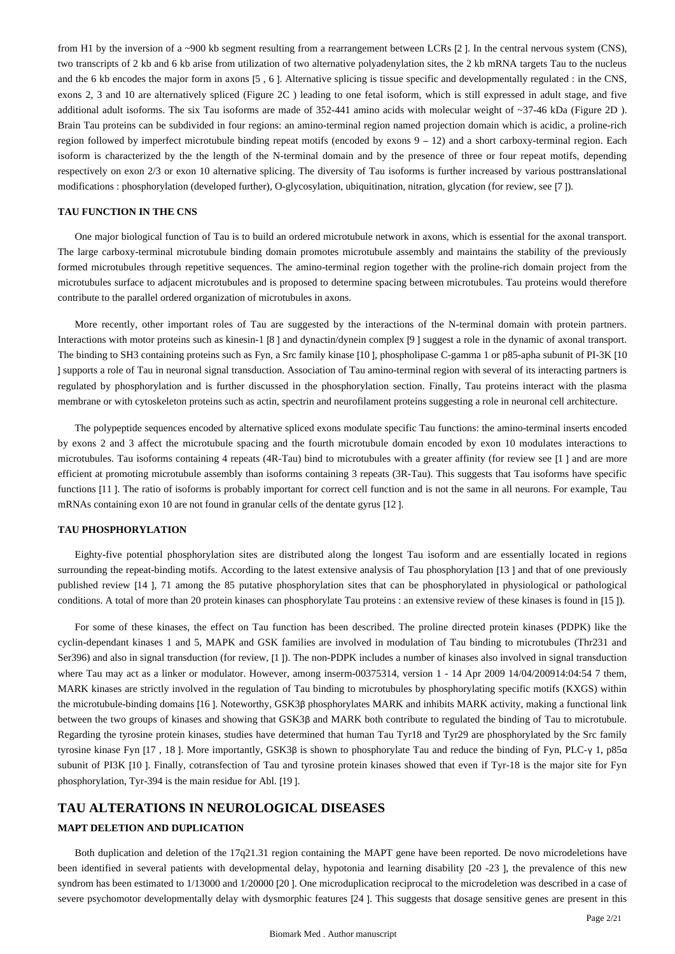from H1 by the inversion of a ~900 kb segment resulting from a rearrangement between LCRs [2 ]. In the central nervous system (CNS), two transcripts of 2 kb and 6 kb arise from utilization of two alternative polyadenylation sites, the 2 kb mRNA targets Tau to the nucleus and the 6 kb encodes the major form in axons [5 , 6 ]. Alternative splicing is tissue specific and developmentally regulated : in the CNS, exons 2, 3 and 10 are alternatively spliced (Figure 2C ) leading to one fetal isoform, which is still expressed in adult stage, and five additional adult isoforms. The six Tau isoforms are made of 352-441 amino acids with molecular weight of ~37-46 kDa (Figure 2D ). Brain Tau proteins can be subdivided in four regions: an amino-terminal region named projection domain which is acidic, a proline-rich region followed by imperfect microtubule binding repeat motifs (encoded by exons 9 – 12) and a short carboxy-terminal region. Each isoform is characterized by the the length of the N-terminal domain and by the presence of three or four repeat motifs, depending respectively on exon 2/3 or exon 10 alternative splicing. The diversity of Tau isoforms is further increased by various posttranslational modifications : phosphorylation (developed further), O-glycosylation, ubiquitination, nitration, glycation (for review, see [7 ]).

### **TAU FUNCTION IN THE CNS**

One major biological function of Tau is to build an ordered microtubule network in axons, which is essential for the axonal transport. The large carboxy-terminal microtubule binding domain promotes microtubule assembly and maintains the stability of the previously formed microtubules through repetitive sequences. The amino-terminal region together with the proline-rich domain project from the microtubules surface to adjacent microtubules and is proposed to determine spacing between microtubules. Tau proteins would therefore contribute to the parallel ordered organization of microtubules in axons.

More recently, other important roles of Tau are suggested by the interactions of the N-terminal domain with protein partners. Interactions with motor proteins such as kinesin-1 [8 ] and dynactin/dynein complex [9 ] suggest a role in the dynamic of axonal transport. The binding to SH3 containing proteins such as Fyn, a Src family kinase [10 ], phospholipase C-gamma 1 or p85-apha subunit of PI-3K [10 ] supports a role of Tau in neuronal signal transduction. Association of Tau amino-terminal region with several of its interacting partners is regulated by phosphorylation and is further discussed in the phosphorylation section. Finally, Tau proteins interact with the plasma membrane or with cytoskeleton proteins such as actin, spectrin and neurofilament proteins suggesting a role in neuronal cell architecture.

The polypeptide sequences encoded by alternative spliced exons modulate specific Tau functions: the amino-terminal inserts encoded by exons 2 and 3 affect the microtubule spacing and the fourth microtubule domain encoded by exon 10 modulates interactions to microtubules. Tau isoforms containing 4 repeats (4R-Tau) bind to microtubules with a greater affinity (for review see [1 ] and are more efficient at promoting microtubule assembly than isoforms containing 3 repeats (3R-Tau). This suggests that Tau isoforms have specific functions [11 ]. The ratio of isoforms is probably important for correct cell function and is not the same in all neurons. For example, Tau mRNAs containing exon 10 are not found in granular cells of the dentate gyrus [12 ].

#### **TAU PHOSPHORYLATION**

Eighty-five potential phosphorylation sites are distributed along the longest Tau isoform and are essentially located in regions surrounding the repeat-binding motifs. According to the latest extensive analysis of Tau phosphorylation [13 ] and that of one previously published review [14 ], 71 among the 85 putative phosphorylation sites that can be phosphorylated in physiological or pathological conditions. A total of more than 20 protein kinases can phosphorylate Tau proteins : an extensive review of these kinases is found in [15 ]).

For some of these kinases, the effect on Tau function has been described. The proline directed protein kinases (PDPK) like the cyclin-dependant kinases 1 and 5, MAPK and GSK families are involved in modulation of Tau binding to microtubules (Thr231 and Ser396) and also in signal transduction (for review, [1 ]). The non-PDPK includes a number of kinases also involved in signal transduction where Tau may act as a linker or modulator. However, among inserm-00375314, version 1 - 14 Apr 2009 14/04/200914:04:54 7 them, MARK kinases are strictly involved in the regulation of Tau binding to microtubules by phosphorylating specific motifs (KXGS) within the microtubule-binding domains [16 ]. Noteworthy, GSK3β phosphorylates MARK and inhibits MARK activity, making a functional link between the two groups of kinases and showing that GSK3β and MARK both contribute to regulated the binding of Tau to microtubule. Regarding the tyrosine protein kinases, studies have determined that human Tau Tyr18 and Tyr29 are phosphorylated by the Src family tyrosine kinase Fyn [17 , 18 ]. More importantly, GSK3β is shown to phosphorylate Tau and reduce the binding of Fyn, PLC-γ 1, p85α subunit of PI3K [10 ]. Finally, cotransfection of Tau and tyrosine protein kinases showed that even if Tyr-18 is the major site for Fyn phosphorylation, Tyr-394 is the main residue for Abl. [19 ].

# **TAU ALTERATIONS IN NEUROLOGICAL DISEASES**

# **MAPT DELETION AND DUPLICATION**

Both duplication and deletion of the 17q21.31 region containing the MAPT gene have been reported. De novo microdeletions have been identified in several patients with developmental delay, hypotonia and learning disability [20 -23 ], the prevalence of this new syndrom has been estimated to 1/13000 and 1/20000 [20 ]. One microduplication reciprocal to the microdeletion was described in a case of severe psychomotor developmentally delay with dysmorphic features [24 ]. This suggests that dosage sensitive genes are present in this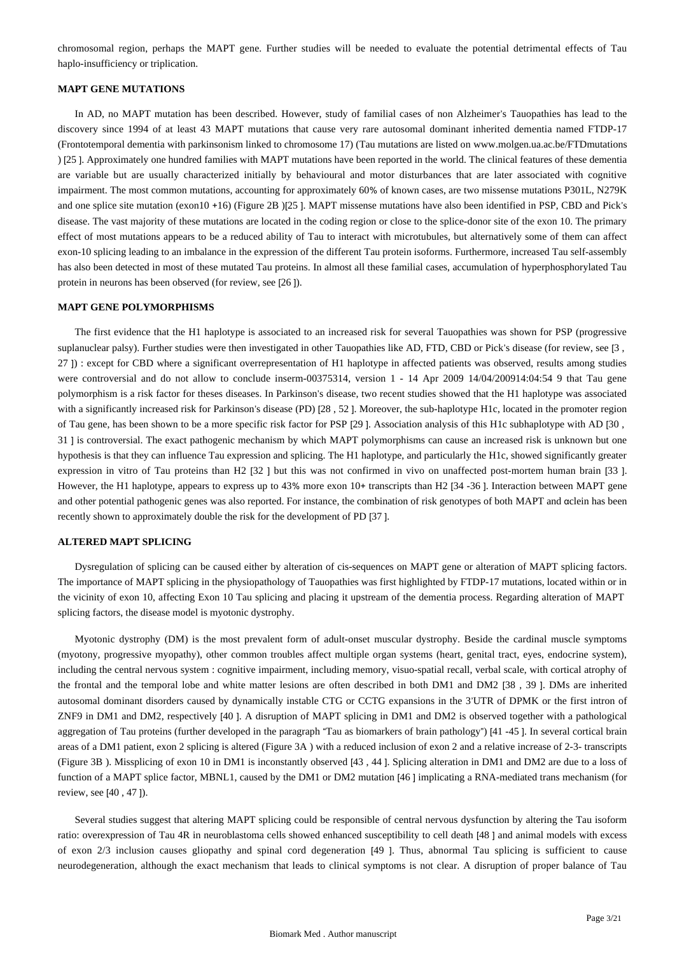chromosomal region, perhaps the MAPT gene. Further studies will be needed to evaluate the potential detrimental effects of Tau haplo-insufficiency or triplication.

### **MAPT GENE MUTATIONS**

In AD, no MAPT mutation has been described. However, study of familial cases of non Alzheimer's Tauopathies has lead to the discovery since 1994 of at least 43 MAPT mutations that cause very rare autosomal dominant inherited dementia named FTDP-17 (Frontotemporal dementia with parkinsonism linked to chromosome 17) (Tau mutations are listed on www.molgen.ua.ac.be/FTDmutations ) [25 ]. Approximately one hundred families with MAPT mutations have been reported in the world. The clinical features of these dementia are variable but are usually characterized initially by behavioural and motor disturbances that are later associated with cognitive impairment. The most common mutations, accounting for approximately 60% of known cases, are two missense mutations P301L, N279K and one splice site mutation (exon10 +16) (Figure 2B )[25 ]. MAPT missense mutations have also been identified in PSP, CBD and Pick's disease. The vast majority of these mutations are located in the coding region or close to the splice-donor site of the exon 10. The primary effect of most mutations appears to be a reduced ability of Tau to interact with microtubules, but alternatively some of them can affect exon-10 splicing leading to an imbalance in the expression of the different Tau protein isoforms. Furthermore, increased Tau self-assembly has also been detected in most of these mutated Tau proteins. In almost all these familial cases, accumulation of hyperphosphorylated Tau protein in neurons has been observed (for review, see [26 ]).

#### **MAPT GENE POLYMORPHISMS**

The first evidence that the H1 haplotype is associated to an increased risk for several Tauopathies was shown for PSP (progressive suplanuclear palsy). Further studies were then investigated in other Tauopathies like AD, FTD, CBD or Pick's disease (for review, see [3 , 27 ]) : except for CBD where a significant overrepresentation of H1 haplotype in affected patients was observed, results among studies were controversial and do not allow to conclude inserm-00375314, version 1 - 14 Apr 2009 14/04/200914:04:54 9 that Tau gene polymorphism is a risk factor for theses diseases. In Parkinson's disease, two recent studies showed that the H1 haplotype was associated with a significantly increased risk for Parkinson's disease (PD) [28 , 52 ]. Moreover, the sub-haplotype H1c, located in the promoter region of Tau gene, has been shown to be a more specific risk factor for PSP [29 ]. Association analysis of this H1c subhaplotype with AD [30 , 31 ] is controversial. The exact pathogenic mechanism by which MAPT polymorphisms can cause an increased risk is unknown but one hypothesis is that they can influence Tau expression and splicing. The H1 haplotype, and particularly the H1c, showed significantly greater expression in vitro of Tau proteins than H2 [32 ] but this was not confirmed in vivo on unaffected post-mortem human brain [33 ]. However, the H1 haplotype, appears to express up to 43% more exon 10+ transcripts than H2 [34 -36]. Interaction between MAPT gene and other potential pathogenic genes was also reported. For instance, the combination of risk genotypes of both MAPT and αclein has been recently shown to approximately double the risk for the development of PD [37 ].

### **ALTERED MAPT SPLICING**

Dysregulation of splicing can be caused either by alteration of cis-sequences on MAPT gene or alteration of MAPT splicing factors. The importance of MAPT splicing in the physiopathology of Tauopathies was first highlighted by FTDP-17 mutations, located within or in the vicinity of exon 10, affecting Exon 10 Tau splicing and placing it upstream of the dementia process. Regarding alteration of MAPT splicing factors, the disease model is myotonic dystrophy.

Myotonic dystrophy (DM) is the most prevalent form of adult-onset muscular dystrophy. Beside the cardinal muscle symptoms (myotony, progressive myopathy), other common troubles affect multiple organ systems (heart, genital tract, eyes, endocrine system), including the central nervous system : cognitive impairment, including memory, visuo-spatial recall, verbal scale, with cortical atrophy of the frontal and the temporal lobe and white matter lesions are often described in both DM1 and DM2 [38 , 39 ]. DMs are inherited autosomal dominant disorders caused by dynamically instable CTG or CCTG expansions in the 3'UTR of DPMK or the first intron of ZNF9 in DM1 and DM2, respectively [40 ]. A disruption of MAPT splicing in DM1 and DM2 is observed together with a pathological aggregation of Tau proteins (further developed in the paragraph "Tau as biomarkers of brain pathology") [41 -45 ]. In several cortical brain areas of a DM1 patient, exon 2 splicing is altered (Figure 3A ) with a reduced inclusion of exon 2 and a relative increase of 2-3- transcripts (Figure 3B ). Missplicing of exon 10 in DM1 is inconstantly observed [43 , 44 ]. Splicing alteration in DM1 and DM2 are due to a loss of function of a MAPT splice factor, MBNL1, caused by the DM1 or DM2 mutation [46 ] implicating a RNA-mediated trans mechanism (for review, see [40 , 47 ]).

Several studies suggest that altering MAPT splicing could be responsible of central nervous dysfunction by altering the Tau isoform ratio: overexpression of Tau 4R in neuroblastoma cells showed enhanced susceptibility to cell death [48 ] and animal models with excess of exon 2/3 inclusion causes gliopathy and spinal cord degeneration [49 ]. Thus, abnormal Tau splicing is sufficient to cause neurodegeneration, although the exact mechanism that leads to clinical symptoms is not clear. A disruption of proper balance of Tau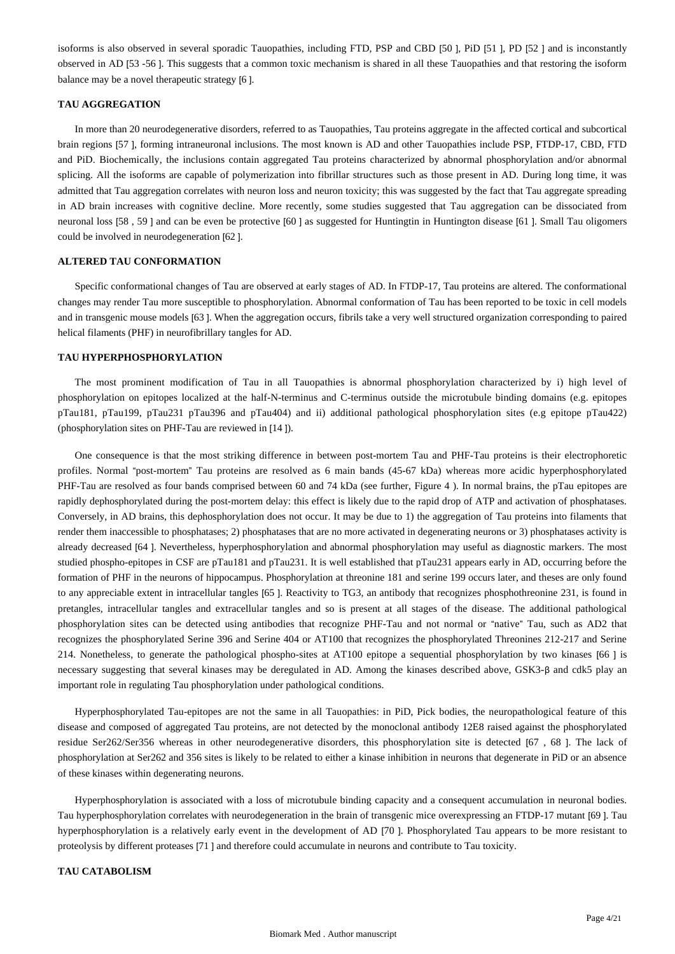isoforms is also observed in several sporadic Tauopathies, including FTD, PSP and CBD [50 ], PiD [51 ], PD [52 ] and is inconstantly observed in AD [53 -56 ]. This suggests that a common toxic mechanism is shared in all these Tauopathies and that restoring the isoform balance may be a novel therapeutic strategy [6 ].

# **TAU AGGREGATION**

In more than 20 neurodegenerative disorders, referred to as Tauopathies, Tau proteins aggregate in the affected cortical and subcortical brain regions [57 ], forming intraneuronal inclusions. The most known is AD and other Tauopathies include PSP, FTDP-17, CBD, FTD and PiD. Biochemically, the inclusions contain aggregated Tau proteins characterized by abnormal phosphorylation and/or abnormal splicing. All the isoforms are capable of polymerization into fibrillar structures such as those present in AD. During long time, it was admitted that Tau aggregation correlates with neuron loss and neuron toxicity; this was suggested by the fact that Tau aggregate spreading in AD brain increases with cognitive decline. More recently, some studies suggested that Tau aggregation can be dissociated from neuronal loss [58 , 59 ] and can be even be protective [60 ] as suggested for Huntingtin in Huntington disease [61 ]. Small Tau oligomers could be involved in neurodegeneration [62 ].

## **ALTERED TAU CONFORMATION**

Specific conformational changes of Tau are observed at early stages of AD. In FTDP-17, Tau proteins are altered. The conformational changes may render Tau more susceptible to phosphorylation. Abnormal conformation of Tau has been reported to be toxic in cell models and in transgenic mouse models [63 ]. When the aggregation occurs, fibrils take a very well structured organization corresponding to paired helical filaments (PHF) in neurofibrillary tangles for AD.

# **TAU HYPERPHOSPHORYLATION**

The most prominent modification of Tau in all Tauopathies is abnormal phosphorylation characterized by i) high level of phosphorylation on epitopes localized at the half-N-terminus and C-terminus outside the microtubule binding domains (e.g. epitopes pTau181, pTau199, pTau231 pTau396 and pTau404) and ii) additional pathological phosphorylation sites (e.g epitope pTau422) (phosphorylation sites on PHF-Tau are reviewed in [14 ]).

One consequence is that the most striking difference in between post-mortem Tau and PHF-Tau proteins is their electrophoretic profiles. Normal "post-mortem" Tau proteins are resolved as 6 main bands (45-67 kDa) whereas more acidic hyperphosphorylated PHF-Tau are resolved as four bands comprised between 60 and 74 kDa (see further, Figure 4 ). In normal brains, the pTau epitopes are rapidly dephosphorylated during the post-mortem delay: this effect is likely due to the rapid drop of ATP and activation of phosphatases. Conversely, in AD brains, this dephosphorylation does not occur. It may be due to 1) the aggregation of Tau proteins into filaments that render them inaccessible to phosphatases; 2) phosphatases that are no more activated in degenerating neurons or 3) phosphatases activity is already decreased [64 ]. Nevertheless, hyperphosphorylation and abnormal phosphorylation may useful as diagnostic markers. The most studied phospho-epitopes in CSF are pTau181 and pTau231. It is well established that pTau231 appears early in AD, occurring before the formation of PHF in the neurons of hippocampus. Phosphorylation at threonine 181 and serine 199 occurs later, and theses are only found to any appreciable extent in intracellular tangles [65 ]. Reactivity to TG3, an antibody that recognizes phosphothreonine 231, is found in pretangles, intracellular tangles and extracellular tangles and so is present at all stages of the disease. The additional pathological phosphorylation sites can be detected using antibodies that recognize PHF-Tau and not normal or "native" Tau, such as AD2 that recognizes the phosphorylated Serine 396 and Serine 404 or AT100 that recognizes the phosphorylated Threonines 212-217 and Serine 214. Nonetheless, to generate the pathological phospho-sites at AT100 epitope a sequential phosphorylation by two kinases [66 ] is necessary suggesting that several kinases may be deregulated in AD. Among the kinases described above, GSK3-β and cdk5 play an important role in regulating Tau phosphorylation under pathological conditions.

Hyperphosphorylated Tau-epitopes are not the same in all Tauopathies: in PiD, Pick bodies, the neuropathological feature of this disease and composed of aggregated Tau proteins, are not detected by the monoclonal antibody 12E8 raised against the phosphorylated residue Ser262/Ser356 whereas in other neurodegenerative disorders, this phosphorylation site is detected [67 , 68 ]. The lack of phosphorylation at Ser262 and 356 sites is likely to be related to either a kinase inhibition in neurons that degenerate in PiD or an absence of these kinases within degenerating neurons.

Hyperphosphorylation is associated with a loss of microtubule binding capacity and a consequent accumulation in neuronal bodies. Tau hyperphosphorylation correlates with neurodegeneration in the brain of transgenic mice overexpressing an FTDP-17 mutant [69 ]. Tau hyperphosphorylation is a relatively early event in the development of AD [70 ]. Phosphorylated Tau appears to be more resistant to proteolysis by different proteases [71 ] and therefore could accumulate in neurons and contribute to Tau toxicity.

## **TAU CATABOLISM**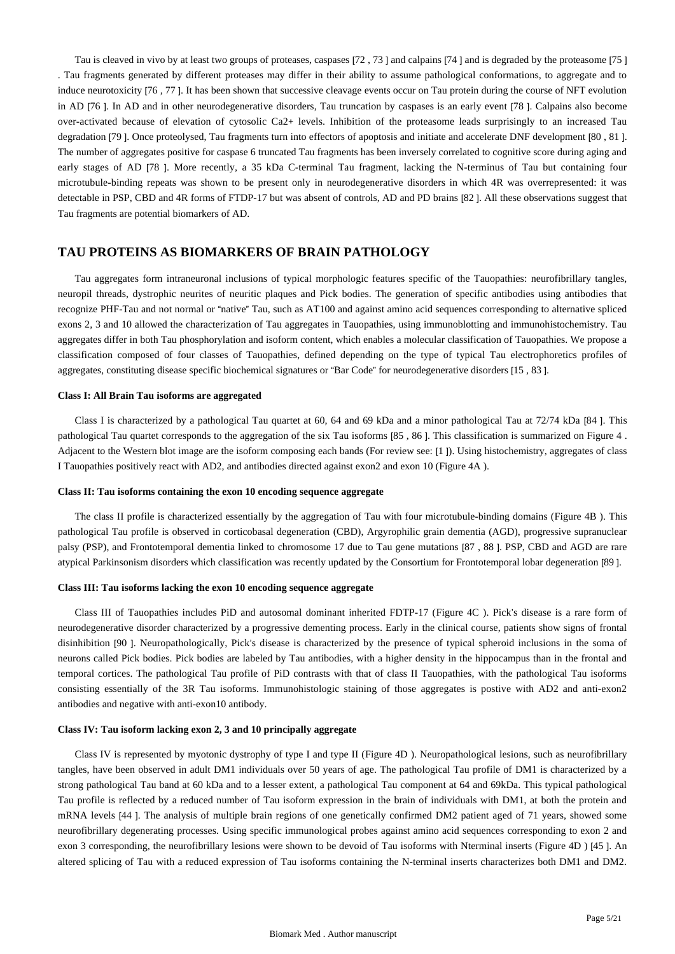Tau is cleaved in vivo by at least two groups of proteases, caspases [72 , 73 ] and calpains [74 ] and is degraded by the proteasome [75 ] . Tau fragments generated by different proteases may differ in their ability to assume pathological conformations, to aggregate and to induce neurotoxicity [76 , 77 ]. It has been shown that successive cleavage events occur on Tau protein during the course of NFT evolution in AD [76 ]. In AD and in other neurodegenerative disorders, Tau truncation by caspases is an early event [78 ]. Calpains also become over-activated because of elevation of cytosolic Ca2+ levels. Inhibition of the proteasome leads surprisingly to an increased Tau degradation [79 ]. Once proteolysed, Tau fragments turn into effectors of apoptosis and initiate and accelerate DNF development [80 , 81 ]. The number of aggregates positive for caspase 6 truncated Tau fragments has been inversely correlated to cognitive score during aging and early stages of AD [78 ]. More recently, a 35 kDa C-terminal Tau fragment, lacking the N-terminus of Tau but containing four microtubule-binding repeats was shown to be present only in neurodegenerative disorders in which 4R was overrepresented: it was detectable in PSP, CBD and 4R forms of FTDP-17 but was absent of controls, AD and PD brains [82 ]. All these observations suggest that Tau fragments are potential biomarkers of AD.

# **TAU PROTEINS AS BIOMARKERS OF BRAIN PATHOLOGY**

Tau aggregates form intraneuronal inclusions of typical morphologic features specific of the Tauopathies: neurofibrillary tangles, neuropil threads, dystrophic neurites of neuritic plaques and Pick bodies. The generation of specific antibodies using antibodies that recognize PHF-Tau and not normal or "native" Tau, such as AT100 and against amino acid sequences corresponding to alternative spliced exons 2, 3 and 10 allowed the characterization of Tau aggregates in Tauopathies, using immunoblotting and immunohistochemistry. Tau aggregates differ in both Tau phosphorylation and isoform content, which enables a molecular classification of Tauopathies. We propose a classification composed of four classes of Tauopathies, defined depending on the type of typical Tau electrophoretics profiles of aggregates, constituting disease specific biochemical signatures or "Bar Code" for neurodegenerative disorders [15 , 83 ].

#### **Class I: All Brain Tau isoforms are aggregated**

Class I is characterized by a pathological Tau quartet at 60, 64 and 69 kDa and a minor pathological Tau at 72/74 kDa [84 ]. This pathological Tau quartet corresponds to the aggregation of the six Tau isoforms [85 , 86 ]. This classification is summarized on Figure 4 . Adjacent to the Western blot image are the isoform composing each bands (For review see: [1 ]). Using histochemistry, aggregates of class I Tauopathies positively react with AD2, and antibodies directed against exon2 and exon 10 (Figure 4A ).

#### **Class II: Tau isoforms containing the exon 10 encoding sequence aggregate**

The class II profile is characterized essentially by the aggregation of Tau with four microtubule-binding domains (Figure 4B ). This pathological Tau profile is observed in corticobasal degeneration (CBD), Argyrophilic grain dementia (AGD), progressive supranuclear palsy (PSP), and Frontotemporal dementia linked to chromosome 17 due to Tau gene mutations [87 , 88 ]. PSP, CBD and AGD are rare atypical Parkinsonism disorders which classification was recently updated by the Consortium for Frontotemporal lobar degeneration [89 ].

# **Class III: Tau isoforms lacking the exon 10 encoding sequence aggregate**

Class III of Tauopathies includes PiD and autosomal dominant inherited FDTP-17 (Figure 4C ). Pick's disease is a rare form of neurodegenerative disorder characterized by a progressive dementing process. Early in the clinical course, patients show signs of frontal disinhibition [90 ]. Neuropathologically, Pick's disease is characterized by the presence of typical spheroid inclusions in the soma of neurons called Pick bodies. Pick bodies are labeled by Tau antibodies, with a higher density in the hippocampus than in the frontal and temporal cortices. The pathological Tau profile of PiD contrasts with that of class II Tauopathies, with the pathological Tau isoforms consisting essentially of the 3R Tau isoforms. Immunohistologic staining of those aggregates is postive with AD2 and anti-exon2 antibodies and negative with anti-exon10 antibody.

#### **Class IV: Tau isoform lacking exon 2, 3 and 10 principally aggregate**

Class IV is represented by myotonic dystrophy of type I and type II (Figure 4D ). Neuropathological lesions, such as neurofibrillary tangles, have been observed in adult DM1 individuals over 50 years of age. The pathological Tau profile of DM1 is characterized by a strong pathological Tau band at 60 kDa and to a lesser extent, a pathological Tau component at 64 and 69kDa. This typical pathological Tau profile is reflected by a reduced number of Tau isoform expression in the brain of individuals with DM1, at both the protein and mRNA levels [44 ]. The analysis of multiple brain regions of one genetically confirmed DM2 patient aged of 71 years, showed some neurofibrillary degenerating processes. Using specific immunological probes against amino acid sequences corresponding to exon 2 and exon 3 corresponding, the neurofibrillary lesions were shown to be devoid of Tau isoforms with Nterminal inserts (Figure 4D ) [45 ]. An altered splicing of Tau with a reduced expression of Tau isoforms containing the N-terminal inserts characterizes both DM1 and DM2.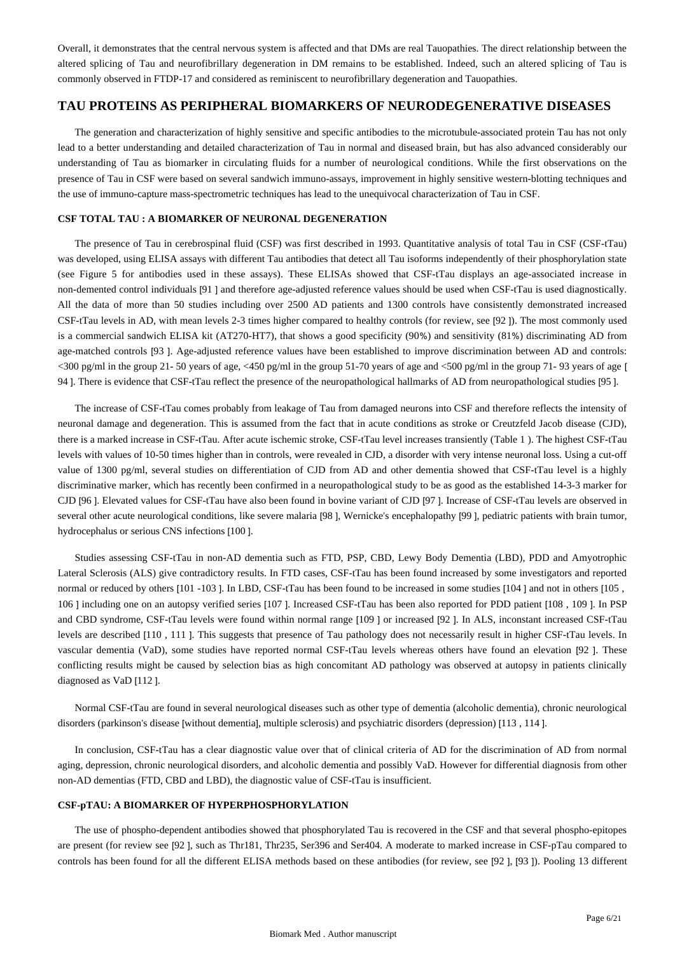Overall, it demonstrates that the central nervous system is affected and that DMs are real Tauopathies. The direct relationship between the altered splicing of Tau and neurofibrillary degeneration in DM remains to be established. Indeed, such an altered splicing of Tau is commonly observed in FTDP-17 and considered as reminiscent to neurofibrillary degeneration and Tauopathies.

# **TAU PROTEINS AS PERIPHERAL BIOMARKERS OF NEURODEGENERATIVE DISEASES**

The generation and characterization of highly sensitive and specific antibodies to the microtubule-associated protein Tau has not only lead to a better understanding and detailed characterization of Tau in normal and diseased brain, but has also advanced considerably our understanding of Tau as biomarker in circulating fluids for a number of neurological conditions. While the first observations on the presence of Tau in CSF were based on several sandwich immuno-assays, improvement in highly sensitive western-blotting techniques and the use of immuno-capture mass-spectrometric techniques has lead to the unequivocal characterization of Tau in CSF.

### **CSF TOTAL TAU : A BIOMARKER OF NEURONAL DEGENERATION**

The presence of Tau in cerebrospinal fluid (CSF) was first described in 1993. Quantitative analysis of total Tau in CSF (CSF-tTau) was developed, using ELISA assays with different Tau antibodies that detect all Tau isoforms independently of their phosphorylation state (see Figure 5 for antibodies used in these assays). These ELISAs showed that CSF-tTau displays an age-associated increase in non-demented control individuals [91 ] and therefore age-adjusted reference values should be used when CSF-tTau is used diagnostically. All the data of more than 50 studies including over 2500 AD patients and 1300 controls have consistently demonstrated increased CSF-tTau levels in AD, with mean levels 2-3 times higher compared to healthy controls (for review, see [92 ]). The most commonly used is a commercial sandwich ELISA kit (AT270-HT7), that shows a good specificity (90%) and sensitivity (81%) discriminating AD from age-matched controls [93 ]. Age-adjusted reference values have been established to improve discrimination between AD and controls:  $\langle$ 300 pg/ml in the group 21- 50 years of age,  $\langle$ 450 pg/ml in the group 51-70 years of age and  $\langle$ 500 pg/ml in the group 71- 93 years of age [ 94 ]. There is evidence that CSF-tTau reflect the presence of the neuropathological hallmarks of AD from neuropathological studies [95 ].

The increase of CSF-tTau comes probably from leakage of Tau from damaged neurons into CSF and therefore reflects the intensity of neuronal damage and degeneration. This is assumed from the fact that in acute conditions as stroke or Creutzfeld Jacob disease (CJD), there is a marked increase in CSF-tTau. After acute ischemic stroke, CSF-tTau level increases transiently (Table 1 ). The highest CSF-tTau levels with values of 10-50 times higher than in controls, were revealed in CJD, a disorder with very intense neuronal loss. Using a cut-off value of 1300 pg/ml, several studies on differentiation of CJD from AD and other dementia showed that CSF-tTau level is a highly discriminative marker, which has recently been confirmed in a neuropathological study to be as good as the established 14-3-3 marker for CJD [96 ]. Elevated values for CSF-tTau have also been found in bovine variant of CJD [97 ]. Increase of CSF-tTau levels are observed in several other acute neurological conditions, like severe malaria [98 ], Wernicke's encephalopathy [99 ], pediatric patients with brain tumor, hydrocephalus or serious CNS infections [100 ].

Studies assessing CSF-tTau in non-AD dementia such as FTD, PSP, CBD, Lewy Body Dementia (LBD), PDD and Amyotrophic Lateral Sclerosis (ALS) give contradictory results. In FTD cases, CSF-tTau has been found increased by some investigators and reported normal or reduced by others [101 -103 ]. In LBD, CSF-tTau has been found to be increased in some studies [104 ] and not in others [105 , 106 ] including one on an autopsy verified series [107 ]. Increased CSF-tTau has been also reported for PDD patient [108 , 109 ]. In PSP and CBD syndrome, CSF-tTau levels were found within normal range [109 ] or increased [92 ]. In ALS, inconstant increased CSF-tTau levels are described [110 , 111 ]. This suggests that presence of Tau pathology does not necessarily result in higher CSF-tTau levels. In vascular dementia (VaD), some studies have reported normal CSF-tTau levels whereas others have found an elevation [92 ]. These conflicting results might be caused by selection bias as high concomitant AD pathology was observed at autopsy in patients clinically diagnosed as VaD [112 ].

Normal CSF-tTau are found in several neurological diseases such as other type of dementia (alcoholic dementia), chronic neurological disorders (parkinson's disease [without dementia], multiple sclerosis) and psychiatric disorders (depression) [113 , 114 ].

In conclusion, CSF-tTau has a clear diagnostic value over that of clinical criteria of AD for the discrimination of AD from normal aging, depression, chronic neurological disorders, and alcoholic dementia and possibly VaD. However for differential diagnosis from other non-AD dementias (FTD, CBD and LBD), the diagnostic value of CSF-tTau is insufficient.

# **CSF-pTAU: A BIOMARKER OF HYPERPHOSPHORYLATION**

The use of phospho-dependent antibodies showed that phosphorylated Tau is recovered in the CSF and that several phospho-epitopes are present (for review see [92 ], such as Thr181, Thr235, Ser396 and Ser404. A moderate to marked increase in CSF-pTau compared to controls has been found for all the different ELISA methods based on these antibodies (for review, see [92 ], [93 ]). Pooling 13 different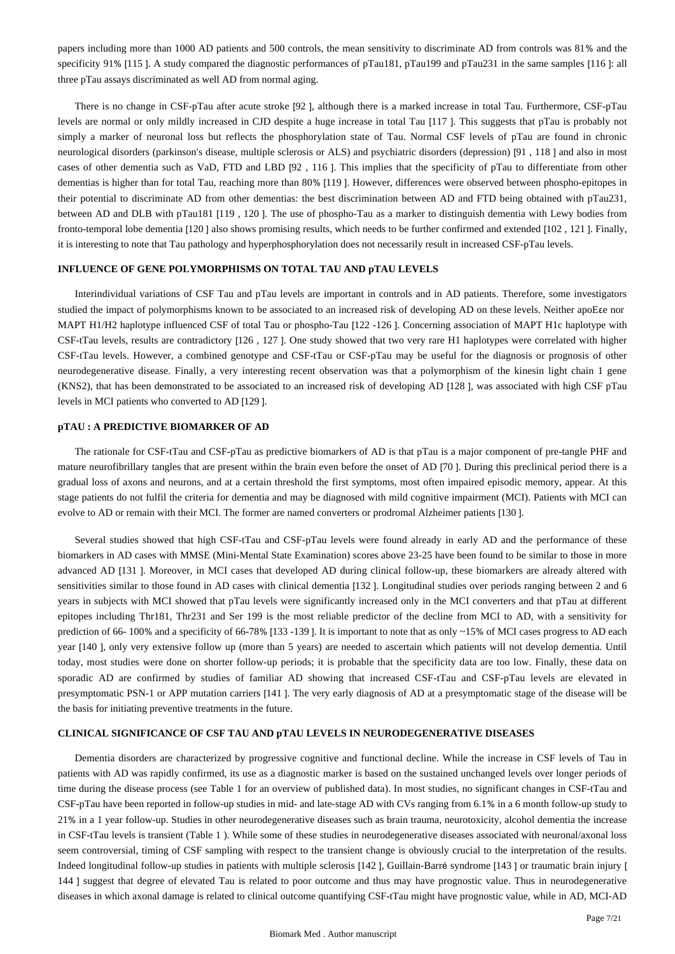papers including more than 1000 AD patients and 500 controls, the mean sensitivity to discriminate AD from controls was 81% and the specificity 91% [115 ]. A study compared the diagnostic performances of pTau181, pTau199 and pTau231 in the same samples [116 ]: all three pTau assays discriminated as well AD from normal aging.

There is no change in CSF-pTau after acute stroke [92 ], although there is a marked increase in total Tau. Furthermore, CSF-pTau levels are normal or only mildly increased in CJD despite a huge increase in total Tau [117 ]. This suggests that pTau is probably not simply a marker of neuronal loss but reflects the phosphorylation state of Tau. Normal CSF levels of pTau are found in chronic neurological disorders (parkinson's disease, multiple sclerosis or ALS) and psychiatric disorders (depression) [91 , 118 ] and also in most cases of other dementia such as VaD, FTD and LBD [92 , 116 ]. This implies that the specificity of pTau to differentiate from other dementias is higher than for total Tau, reaching more than 80% [119 ]. However, differences were observed between phospho-epitopes in their potential to discriminate AD from other dementias: the best discrimination between AD and FTD being obtained with pTau231, between AD and DLB with pTau181 [119 , 120 ]. The use of phospho-Tau as a marker to distinguish dementia with Lewy bodies from fronto-temporal lobe dementia [120 ] also shows promising results, which needs to be further confirmed and extended [102 , 121 ]. Finally, it is interesting to note that Tau pathology and hyperphosphorylation does not necessarily result in increased CSF-pTau levels.

### **INFLUENCE OF GENE POLYMORPHISMS ON TOTAL TAU AND pTAU LEVELS**

Interindividual variations of CSF Tau and pTau levels are important in controls and in AD patients. Therefore, some investigators studied the impact of polymorphisms known to be associated to an increased risk of developing AD on these levels. Neither apoEεe nor MAPT H1/H2 haplotype influenced CSF of total Tau or phospho-Tau [122 -126 ]. Concerning association of MAPT H1c haplotype with CSF-tTau levels, results are contradictory [126 , 127 ]. One study showed that two very rare H1 haplotypes were correlated with higher CSF-tTau levels. However, a combined genotype and CSF-tTau or CSF-pTau may be useful for the diagnosis or prognosis of other neurodegenerative disease. Finally, a very interesting recent observation was that a polymorphism of the kinesin light chain 1 gene (KNS2), that has been demonstrated to be associated to an increased risk of developing AD [128 ], was associated with high CSF pTau levels in MCI patients who converted to AD [129 ].

#### **pTAU : A PREDICTIVE BIOMARKER OF AD**

The rationale for CSF-tTau and CSF-pTau as predictive biomarkers of AD is that pTau is a major component of pre-tangle PHF and mature neurofibrillary tangles that are present within the brain even before the onset of AD [70 ]. During this preclinical period there is a gradual loss of axons and neurons, and at a certain threshold the first symptoms, most often impaired episodic memory, appear. At this stage patients do not fulfil the criteria for dementia and may be diagnosed with mild cognitive impairment (MCI). Patients with MCI can evolve to AD or remain with their MCI. The former are named converters or prodromal Alzheimer patients [130 ].

Several studies showed that high CSF-tTau and CSF-pTau levels were found already in early AD and the performance of these biomarkers in AD cases with MMSE (Mini-Mental State Examination) scores above 23-25 have been found to be similar to those in more advanced AD [131 ]. Moreover, in MCI cases that developed AD during clinical follow-up, these biomarkers are already altered with sensitivities similar to those found in AD cases with clinical dementia [132 ]. Longitudinal studies over periods ranging between 2 and 6 years in subjects with MCI showed that pTau levels were significantly increased only in the MCI converters and that pTau at different epitopes including Thr181, Thr231 and Ser 199 is the most reliable predictor of the decline from MCI to AD, with a sensitivity for prediction of 66- 100% and a specificity of 66-78% [133 -139 ]. It is important to note that as only ~15% of MCI cases progress to AD each year [140 ], only very extensive follow up (more than 5 years) are needed to ascertain which patients will not develop dementia. Until today, most studies were done on shorter follow-up periods; it is probable that the specificity data are too low. Finally, these data on sporadic AD are confirmed by studies of familiar AD showing that increased CSF-tTau and CSF-pTau levels are elevated in presymptomatic PSN-1 or APP mutation carriers [141 ]. The very early diagnosis of AD at a presymptomatic stage of the disease will be the basis for initiating preventive treatments in the future.

#### **CLINICAL SIGNIFICANCE OF CSF TAU AND pTAU LEVELS IN NEURODEGENERATIVE DISEASES**

Dementia disorders are characterized by progressive cognitive and functional decline. While the increase in CSF levels of Tau in patients with AD was rapidly confirmed, its use as a diagnostic marker is based on the sustained unchanged levels over longer periods of time during the disease process (see Table 1 for an overview of published data). In most studies, no significant changes in CSF-tTau and CSF-pTau have been reported in follow-up studies in mid- and late-stage AD with CVs ranging from 6.1% in a 6 month follow-up study to 21% in a 1 year follow-up. Studies in other neurodegenerative diseases such as brain trauma, neurotoxicity, alcohol dementia the increase in CSF-tTau levels is transient (Table 1 ). While some of these studies in neurodegenerative diseases associated with neuronal/axonal loss seem controversial, timing of CSF sampling with respect to the transient change is obviously crucial to the interpretation of the results. Indeed longitudinal follow-up studies in patients with multiple sclerosis [142 ], Guillain-Barré syndrome [143 ] or traumatic brain injury [ 144 ] suggest that degree of elevated Tau is related to poor outcome and thus may have prognostic value. Thus in neurodegenerative diseases in which axonal damage is related to clinical outcome quantifying CSF-tTau might have prognostic value, while in AD, MCI-AD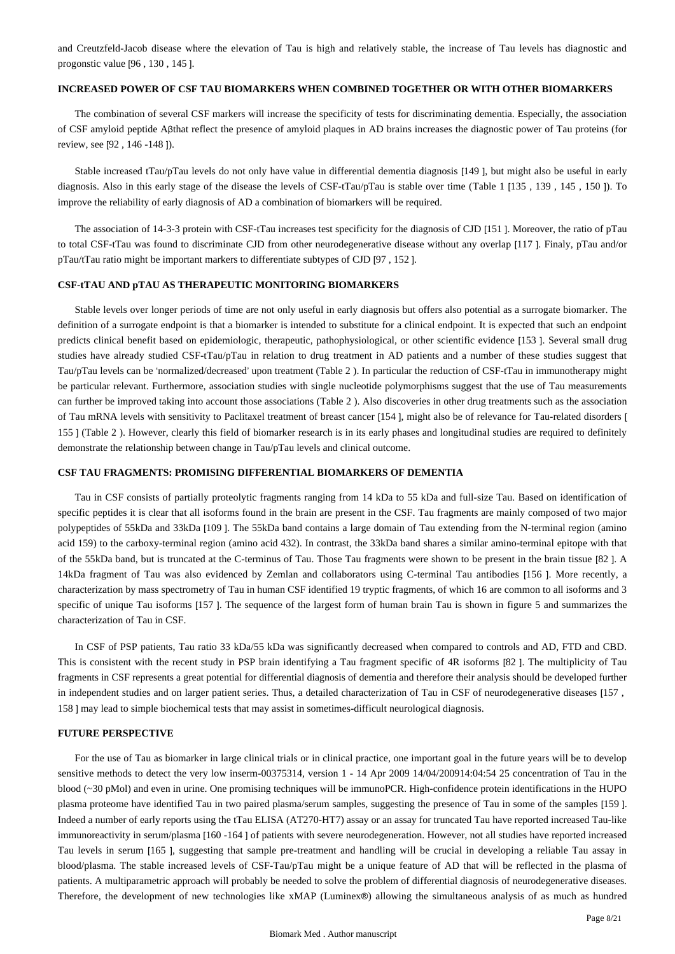and Creutzfeld-Jacob disease where the elevation of Tau is high and relatively stable, the increase of Tau levels has diagnostic and progonstic value [96 , 130 , 145 ].

### **INCREASED POWER OF CSF TAU BIOMARKERS WHEN COMBINED TOGETHER OR WITH OTHER BIOMARKERS**

The combination of several CSF markers will increase the specificity of tests for discriminating dementia. Especially, the association of CSF amyloid peptide Aβthat reflect the presence of amyloid plaques in AD brains increases the diagnostic power of Tau proteins (for review, see [92 , 146 -148 ]).

Stable increased tTau/pTau levels do not only have value in differential dementia diagnosis [149 ], but might also be useful in early diagnosis. Also in this early stage of the disease the levels of CSF-tTau/pTau is stable over time (Table 1 [135 , 139 , 145 , 150 ]). To improve the reliability of early diagnosis of AD a combination of biomarkers will be required.

The association of 14-3-3 protein with CSF-tTau increases test specificity for the diagnosis of CJD [151 ]. Moreover, the ratio of pTau to total CSF-tTau was found to discriminate CJD from other neurodegenerative disease without any overlap [117 ]. Finaly, pTau and/or pTau/tTau ratio might be important markers to differentiate subtypes of CJD [97 , 152 ].

#### **CSF-tTAU AND pTAU AS THERAPEUTIC MONITORING BIOMARKERS**

Stable levels over longer periods of time are not only useful in early diagnosis but offers also potential as a surrogate biomarker. The definition of a surrogate endpoint is that a biomarker is intended to substitute for a clinical endpoint. It is expected that such an endpoint predicts clinical benefit based on epidemiologic, therapeutic, pathophysiological, or other scientific evidence [153 ]. Several small drug studies have already studied CSF-tTau/pTau in relation to drug treatment in AD patients and a number of these studies suggest that Tau/pTau levels can be 'normalized/decreased' upon treatment (Table 2 ). In particular the reduction of CSF-tTau in immunotherapy might be particular relevant. Furthermore, association studies with single nucleotide polymorphisms suggest that the use of Tau measurements can further be improved taking into account those associations (Table 2 ). Also discoveries in other drug treatments such as the association of Tau mRNA levels with sensitivity to Paclitaxel treatment of breast cancer [154 ], might also be of relevance for Tau-related disorders [ 155 ] (Table 2 ). However, clearly this field of biomarker research is in its early phases and longitudinal studies are required to definitely demonstrate the relationship between change in Tau/pTau levels and clinical outcome.

#### **CSF TAU FRAGMENTS: PROMISING DIFFERENTIAL BIOMARKERS OF DEMENTIA**

Tau in CSF consists of partially proteolytic fragments ranging from 14 kDa to 55 kDa and full-size Tau. Based on identification of specific peptides it is clear that all isoforms found in the brain are present in the CSF. Tau fragments are mainly composed of two major polypeptides of 55kDa and 33kDa [109 ]. The 55kDa band contains a large domain of Tau extending from the N-terminal region (amino acid 159) to the carboxy-terminal region (amino acid 432). In contrast, the 33kDa band shares a similar amino-terminal epitope with that of the 55kDa band, but is truncated at the C-terminus of Tau. Those Tau fragments were shown to be present in the brain tissue [82 ]. A 14kDa fragment of Tau was also evidenced by Zemlan and collaborators using C-terminal Tau antibodies [156 ]. More recently, a characterization by mass spectrometry of Tau in human CSF identified 19 tryptic fragments, of which 16 are common to all isoforms and 3 specific of unique Tau isoforms [157 ]. The sequence of the largest form of human brain Tau is shown in figure 5 and summarizes the characterization of Tau in CSF.

In CSF of PSP patients, Tau ratio 33 kDa/55 kDa was significantly decreased when compared to controls and AD, FTD and CBD. This is consistent with the recent study in PSP brain identifying a Tau fragment specific of 4R isoforms [82 ]. The multiplicity of Tau fragments in CSF represents a great potential for differential diagnosis of dementia and therefore their analysis should be developed further in independent studies and on larger patient series. Thus, a detailed characterization of Tau in CSF of neurodegenerative diseases [157 , 158 ] may lead to simple biochemical tests that may assist in sometimes-difficult neurological diagnosis.

#### **FUTURE PERSPECTIVE**

For the use of Tau as biomarker in large clinical trials or in clinical practice, one important goal in the future years will be to develop sensitive methods to detect the very low inserm-00375314, version 1 - 14 Apr 2009 14/04/200914:04:54 25 concentration of Tau in the blood (~30 pMol) and even in urine. One promising techniques will be immunoPCR. High-confidence protein identifications in the HUPO plasma proteome have identified Tau in two paired plasma/serum samples, suggesting the presence of Tau in some of the samples [159 ]. Indeed a number of early reports using the tTau ELISA (AT270-HT7) assay or an assay for truncated Tau have reported increased Tau-like immunoreactivity in serum/plasma [160 -164 ] of patients with severe neurodegeneration. However, not all studies have reported increased Tau levels in serum [165 ], suggesting that sample pre-treatment and handling will be crucial in developing a reliable Tau assay in blood/plasma. The stable increased levels of CSF-Tau/pTau might be a unique feature of AD that will be reflected in the plasma of patients. A multiparametric approach will probably be needed to solve the problem of differential diagnosis of neurodegenerative diseases. Therefore, the development of new technologies like xMAP (Luminex®) allowing the simultaneous analysis of as much as hundred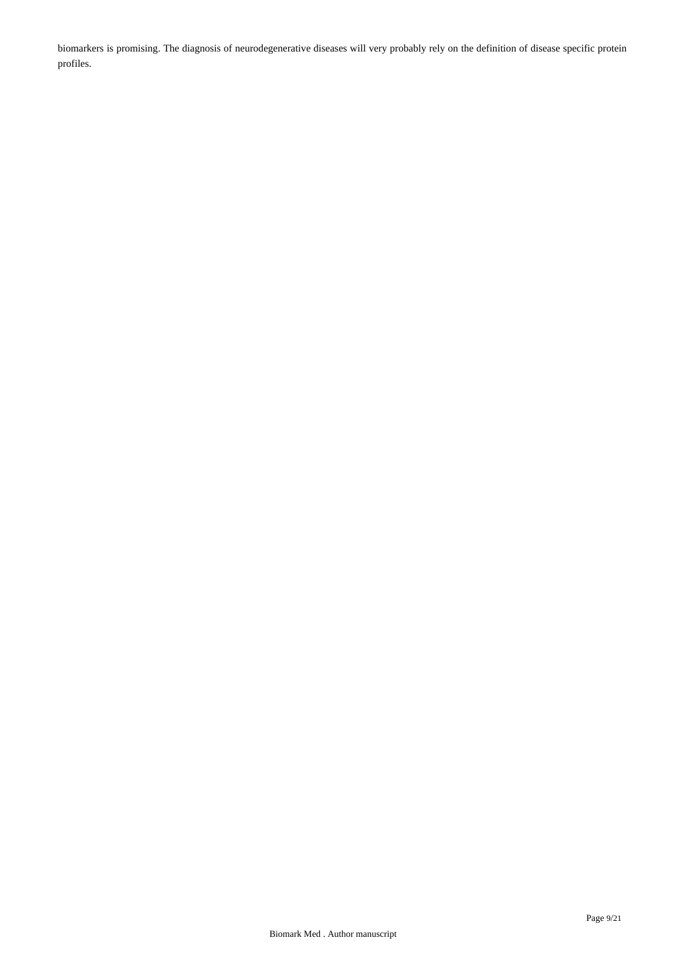biomarkers is promising. The diagnosis of neurodegenerative diseases will very probably rely on the definition of disease specific protein profiles.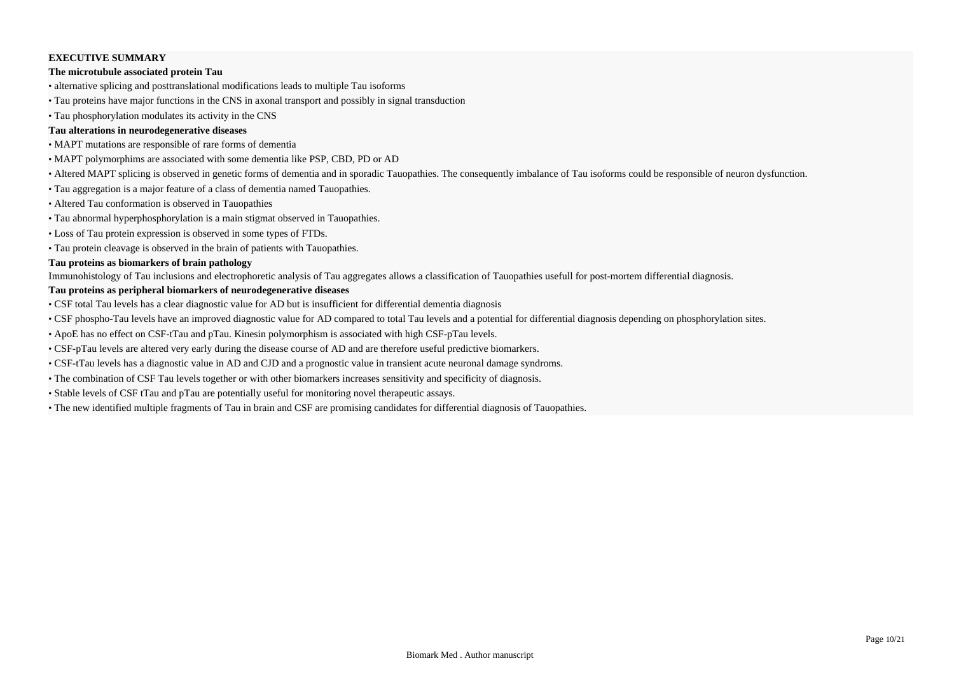# **EXECUTIVE SUMMARY**

### **The microtubule associated protein Tau**

- alternative splicing and posttranslational modifications leads to multiple Tau isoforms
- Tau proteins have major functions in the CNS in axonal transport and possibly in signal transduction
- Tau phosphorylation modulates its activity in the CNS

# **Tau alterations in neurodegenerative diseases**

- MAPT mutations are responsible of rare forms of dementia
- MAPT polymorphims are associated with some dementia like PSP, CBD, PD or AD
- Altered MAPT splicing is observed in genetic forms of dementia and in sporadic Tauopathies. The consequently imbalance of Tau isoforms could be responsible of neuron dysfunction.
- Tau aggregation is a major feature of a class of dementia named Tauopathies.
- Altered Tau conformation is observed in Tauopathies
- Tau abnormal hyperphosphorylation is a main stigmat observed in Tauopathies.
- Loss of Tau protein expression is observed in some types of FTDs.
- Tau protein cleavage is observed in the brain of patients with Tauopathies.

# **Tau proteins as biomarkers of brain pathology**

Immunohistology of Tau inclusions and electrophoretic analysis of Tau aggregates allows a classification of Tauopathies usefull for post-mortem differential diagnosis.

# **Tau proteins as peripheral biomarkers of neurodegenerative diseases**

- CSF total Tau levels has a clear diagnostic value for AD but is insufficient for differential dementia diagnosis
- CSF phospho-Tau levels have an improved diagnostic value for AD compared to total Tau levels and a potential for differential diagnosis depending on phosphorylation sites.
- ApoE has no effect on CSF-tTau and pTau. Kinesin polymorphism is associated with high CSF-pTau levels.
- CSF-pTau levels are altered very early during the disease course of AD and are therefore useful predictive biomarkers.
- CSF-tTau levels has a diagnostic value in AD and CJD and a prognostic value in transient acute neuronal damage syndroms.
- The combination of CSF Tau levels together or with other biomarkers increases sensitivity and specificity of diagnosis.
- Stable levels of CSF tTau and pTau are potentially useful for monitoring novel therapeutic assays.
- The new identified multiple fragments of Tau in brain and CSF are promising candidates for differential diagnosis of Tauopathies.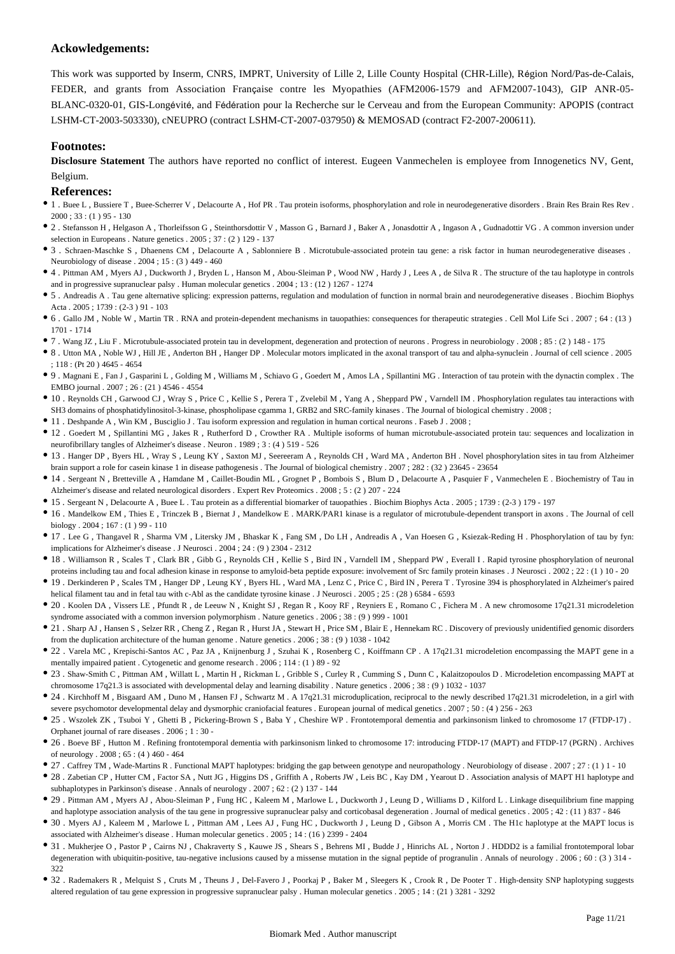# **Ackowledgements:**

This work was supported by Inserm, CNRS, IMPRT, University of Lille 2, Lille County Hospital (CHR-Lille), Région Nord/Pas-de-Calais, FEDER, and grants from Association Française contre les Myopathies (AFM2006-1579 and AFM2007-1043), GIP ANR-05- BLANC-0320-01, GIS-Longévité, and Fédération pour la Recherche sur le Cerveau and from the European Community: APOPIS (contract LSHM-CT-2003-503330), cNEUPRO (contract LSHM-CT-2007-037950) & MEMOSAD (contract F2-2007-200611).

# **Footnotes:**

**Disclosure Statement** The authors have reported no conflict of interest. Eugeen Vanmechelen is employee from Innogenetics NV, Gent, Belgium.

# **References:**

- 1 . Buee L , Bussiere T , Buee-Scherrer V , Delacourte A , Hof PR . Tau protein isoforms, phosphorylation and role in neurodegenerative disorders . Brain Res Brain Res Rev .  $2000$ ; 33: (1) 95 - 130
- 2 . Stefansson H , Helgason A , Thorleifsson G , Steinthorsdottir V , Masson G , Barnard J , Baker A , Jonasdottir A , Ingason A , Gudnadottir VG . A common inversion under selection in Europeans . Nature genetics . 2005 ; 37 : (2 ) 129 - 137
- 3 . Schraen-Maschke S , Dhaenens CM , Delacourte A , Sablonniere B . Microtubule-associated protein tau gene: a risk factor in human neurodegenerative diseases . Neurobiology of disease . 2004 ; 15 : (3 ) 449 - 460
- 4 . Pittman AM , Myers AJ , Duckworth J , Bryden L , Hanson M , Abou-Sleiman P , Wood NW , Hardy J , Lees A , de Silva R . The structure of the tau haplotype in controls and in progressive supranuclear palsy . Human molecular genetics . 2004 ; 13 : (12 ) 1267 - 1274
- 5 . Andreadis A . Tau gene alternative splicing: expression patterns, regulation and modulation of function in normal brain and neurodegenerative diseases . Biochim Biophys Acta . 2005 ; 1739 : (2-3 ) 91 - 103
- 6 . Gallo JM , Noble W , Martin TR . RNA and protein-dependent mechanisms in tauopathies: consequences for therapeutic strategies . Cell Mol Life Sci . 2007 ; 64 : (13 ) 1701 - 1714
- 7 . Wang JZ , Liu F . Microtubule-associated protein tau in development, degeneration and protection of neurons . Progress in neurobiology . 2008 ; 85 : (2 ) 148 175
- 8 . Utton MA , Noble WJ , Hill JE , Anderton BH , Hanger DP . Molecular motors implicated in the axonal transport of tau and alpha-synuclein . Journal of cell science . 2005 ; 118 : (Pt 20 ) 4645 - 4654
- 9 . Magnani E , Fan J , Gasparini L , Golding M , Williams M , Schiavo G , Goedert M , Amos LA , Spillantini MG . Interaction of tau protein with the dynactin complex . The EMBO journal . 2007 ; 26 : (21 ) 4546 - 4554
- 10 . Reynolds CH , Garwood CJ , Wray S , Price C , Kellie S , Perera T , Zvelebil M , Yang A , Sheppard PW , Varndell IM . Phosphorylation regulates tau interactions with SH3 domains of phosphatidylinositol-3-kinase, phospholipase cgamma 1, GRB2 and SRC-family kinases . The Journal of biological chemistry . 2008 ;
- 11 . Deshpande A , Win KM , Busciglio J . Tau isoform expression and regulation in human cortical neurons . Faseb J . 2008 ;
- 12 . Goedert M , Spillantini MG , Jakes R , Rutherford D , Crowther RA . Multiple isoforms of human microtubule-associated protein tau: sequences and localization in neurofibrillary tangles of Alzheimer's disease . Neuron . 1989 ; 3 : (4 ) 519 - 526
- 13 . Hanger DP , Byers HL , Wray S , Leung KY , Saxton MJ , Seereeram A , Reynolds CH , Ward MA , Anderton BH . Novel phosphorylation sites in tau from Alzheimer brain support a role for casein kinase 1 in disease pathogenesis . The Journal of biological chemistry . 2007 ; 282 : (32 ) 23645 - 23654
- 14 . Sergeant N , Bretteville A , Hamdane M , Caillet-Boudin ML , Grognet P , Bombois S , Blum D , Delacourte A , Pasquier F , Vanmechelen E . Biochemistry of Tau in Alzheimer's disease and related neurological disorders . Expert Rev Proteomics . 2008 ; 5 : (2 ) 207 - 224
- 15 . Sergeant N , Delacourte A , Buee L . Tau protein as a differential biomarker of tauopathies . Biochim Biophys Acta . 2005 ; 1739 : (2-3 ) 179 197
- 16 . Mandelkow EM , Thies E , Trinczek B , Biernat J , Mandelkow E . MARK/PAR1 kinase is a regulator of microtubule-dependent transport in axons . The Journal of cell biology . 2004 ; 167 : (1 ) 99 - 110
- 17 . Lee G , Thangavel R , Sharma VM , Litersky JM , Bhaskar K , Fang SM , Do LH , Andreadis A , Van Hoesen G , Ksiezak-Reding H . Phosphorylation of tau by fyn: implications for Alzheimer's disease . J Neurosci . 2004 ; 24 : (9 ) 2304 - 2312
- 18 . Williamson R , Scales T , Clark BR , Gibb G , Reynolds CH , Kellie S , Bird IN , Varndell IM , Sheppard PW , Everall I . Rapid tyrosine phosphorylation of neuronal proteins including tau and focal adhesion kinase in response to amyloid-beta peptide exposure: involvement of Src family protein kinases . J Neurosci . 2002 ; 22 : (1 ) 10 - 20
- 19 . Derkinderen P , Scales TM , Hanger DP , Leung KY , Byers HL , Ward MA , Lenz C , Price C , Bird IN , Perera T . Tyrosine 394 is phosphorylated in Alzheimer's paired helical filament tau and in fetal tau with c-Abl as the candidate tyrosine kinase . J Neurosci . 2005 ; 25 : (28 ) 6584 - 6593
- 20 . Koolen DA , Vissers LE , Pfundt R , de Leeuw N , Knight SJ , Regan R , Kooy RF , Reyniers E , Romano C , Fichera M . A new chromosome 17q21.31 microdeletion syndrome associated with a common inversion polymorphism . Nature genetics . 2006 ; 38 : (9 ) 999 - 1001
- 21 . Sharp AJ , Hansen S , Selzer RR , Cheng Z , Regan R , Hurst JA , Stewart H , Price SM , Blair E , Hennekam RC . Discovery of previously unidentified genomic disorders from the duplication architecture of the human genome . Nature genetics . 2006 ; 38 : (9 ) 1038 - 1042
- 22 . Varela MC , Krepischi-Santos AC , Paz JA , Knijnenburg J , Szuhai K , Rosenberg C , Koiffmann CP . A 17q21.31 microdeletion encompassing the MAPT gene in a mentally impaired patient . Cytogenetic and genome research . 2006 ; 114 : (1 ) 89 - 92
- 23 . Shaw-Smith C , Pittman AM , Willatt L , Martin H , Rickman L , Gribble S , Curley R , Cumming S , Dunn C , Kalaitzopoulos D . Microdeletion encompassing MAPT at chromosome 17q21.3 is associated with developmental delay and learning disability . Nature genetics . 2006 ; 38 : (9 ) 1032 - 1037
- 24 . Kirchhoff M , Bisgaard AM , Duno M , Hansen FJ , Schwartz M . A 17q21.31 microduplication, reciprocal to the newly described 17q21.31 microdeletion, in a girl with severe psychomotor developmental delay and dysmorphic craniofacial features . European journal of medical genetics . 2007 ; 50 : (4 ) 256 - 263
- 25 . Wszolek ZK , Tsuboi Y , Ghetti B , Pickering-Brown S , Baba Y , Cheshire WP . Frontotemporal dementia and parkinsonism linked to chromosome 17 (FTDP-17) . Orphanet journal of rare diseases  $.2006 \cdot 1 \cdot 30$ .
- 26 . Boeve BF , Hutton M . Refining frontotemporal dementia with parkinsonism linked to chromosome 17: introducing FTDP-17 (MAPT) and FTDP-17 (PGRN) . Archives of neurology . 2008 ; 65 : (4 ) 460 - 464
- 27 . Caffrey TM , Wade-Martins R . Functional MAPT haplotypes: bridging the gap between genotype and neuropathology . Neurobiology of disease . 2007 ; 27 : (1 ) 1 10
- 28 . Zabetian CP , Hutter CM , Factor SA , Nutt JG , Higgins DS , Griffith A , Roberts JW , Leis BC , Kay DM , Yearout D . Association analysis of MAPT H1 haplotype and subhaplotypes in Parkinson's disease . Annals of neurology . 2007 ; 62 : (2 ) 137 - 144
- 29 . Pittman AM , Myers AJ , Abou-Sleiman P , Fung HC , Kaleem M , Marlowe L , Duckworth J , Leung D , Williams D , Kilford L . Linkage disequilibrium fine mapping and haplotype association analysis of the tau gene in progressive supranuclear palsy and corticobasal degeneration . Journal of medical genetics . 2005 ; 42 : (11 ) 837 - 846
- 30 . Myers AJ , Kaleem M , Marlowe L , Pittman AM , Lees AJ , Fung HC , Duckworth J , Leung D , Gibson A , Morris CM . The H1c haplotype at the MAPT locus is associated with Alzheimer's disease . Human molecular genetics . 2005 ; 14 : (16 ) 2399 - 2404
- 31 . Mukherjee O , Pastor P , Cairns NJ , Chakraverty S , Kauwe JS , Shears S , Behrens MI , Budde J , Hinrichs AL , Norton J . HDDD2 is a familial frontotemporal lobar degeneration with ubiquitin-positive, tau-negative inclusions caused by a missense mutation in the signal peptide of progranulin . Annals of neurology . 2006 ; 60 : (3) 314 -322
- 32 . Rademakers R , Melquist S , Cruts M , Theuns J , Del-Favero J , Poorkaj P , Baker M , Sleegers K , Crook R , De Pooter T . High-density SNP haplotyping suggests altered regulation of tau gene expression in progressive supranuclear palsy . Human molecular genetics . 2005 ; 14 : (21 ) 3281 - 3292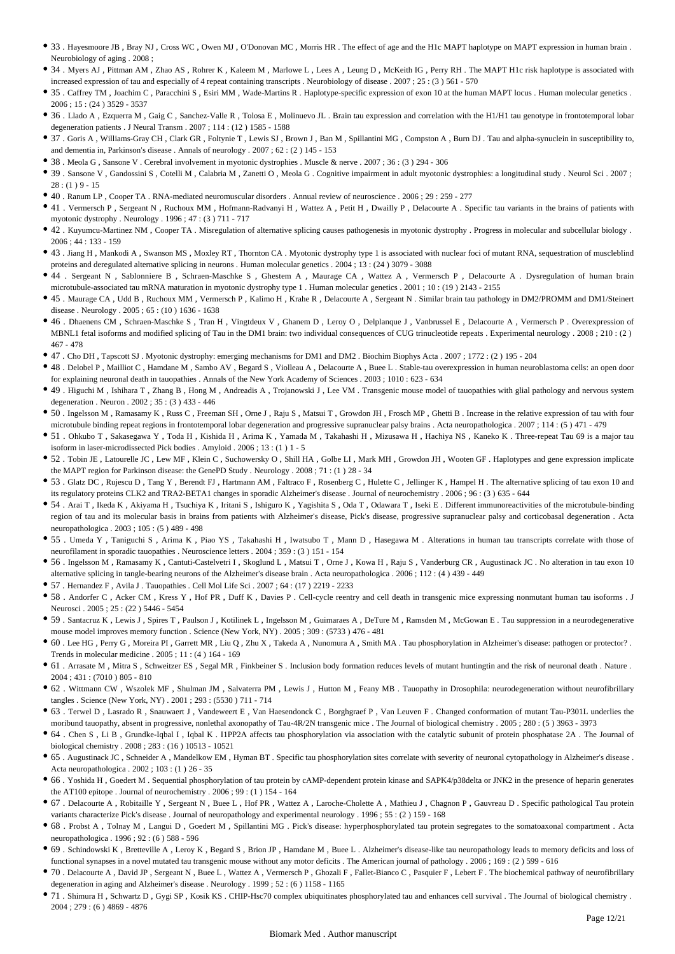- 33 . Hayesmoore JB , Bray NJ , Cross WC , Owen MJ , O'Donovan MC , Morris HR . The effect of age and the H1c MAPT haplotype on MAPT expression in human brain . Neurobiology of aging . 2008 ;
- 34 . Myers AJ , Pittman AM , Zhao AS , Rohrer K , Kaleem M , Marlowe L , Lees A , Leung D , McKeith IG , Perry RH . The MAPT H1c risk haplotype is associated with increased expression of tau and especially of 4 repeat containing transcripts . Neurobiology of disease . 2007 ; 25 : (3 ) 561 - 570
- 35 . Caffrey TM , Joachim C , Paracchini S , Esiri MM , Wade-Martins R . Haplotype-specific expression of exon 10 at the human MAPT locus . Human molecular genetics . 2006 ; 15 : (24 ) 3529 - 3537
- 36 . Llado A , Ezquerra M , Gaig C , Sanchez-Valle R , Tolosa E , Molinuevo JL . Brain tau expression and correlation with the H1/H1 tau genotype in frontotemporal lobar degeneration patients . J Neural Transm . 2007 ; 114 : (12 ) 1585 - 1588
- 37 . Goris A , Williams-Gray CH , Clark GR , Foltynie T , Lewis SJ , Brown J , Ban M , Spillantini MG , Compston A , Burn DJ . Tau and alpha-synuclein in susceptibility to, and dementia in, Parkinson's disease . Annals of neurology . 2007 ; 62 : (2 ) 145 - 153
- 38 . Meola G , Sansone V . Cerebral involvement in myotonic dystrophies . Muscle & nerve . 2007 ; 36 : (3 ) 294 306
- 39 . Sansone V , Gandossini S , Cotelli M , Calabria M , Zanetti O , Meola G . Cognitive impairment in adult myotonic dystrophies: a longitudinal study . Neurol Sci . 2007 ;  $28: (1) 9 - 15$
- 40 . Ranum LP , Cooper TA . RNA-mediated neuromuscular disorders . Annual review of neuroscience . 2006 ; 29 : 259 277
- 41 . Vermersch P , Sergeant N , Ruchoux MM , Hofmann-Radvanyi H , Wattez A , Petit H , Dwailly P , Delacourte A . Specific tau variants in the brains of patients with myotonic dystrophy . Neurology . 1996 ; 47 : (3 ) 711 - 717
- 42 . Kuyumcu-Martinez NM , Cooper TA . Misregulation of alternative splicing causes pathogenesis in myotonic dystrophy . Progress in molecular and subcellular biology . 2006 ; 44 : 133 - 159
- 43 . Jiang H , Mankodi A , Swanson MS , Moxley RT , Thornton CA . Myotonic dystrophy type 1 is associated with nuclear foci of mutant RNA, sequestration of muscleblind proteins and deregulated alternative splicing in neurons . Human molecular genetics . 2004 ; 13 : (24 ) 3079 - 3088
- 44 . Sergeant N , Sablonniere B , Schraen-Maschke S , Ghestem A , Maurage CA , Wattez A , Vermersch P , Delacourte A . Dysregulation of human brain microtubule-associated tau mRNA maturation in myotonic dystrophy type 1 . Human molecular genetics . 2001 ; 10 : (19 ) 2143 - 2155
- 45 . Maurage CA , Udd B , Ruchoux MM , Vermersch P , Kalimo H , Krahe R , Delacourte A , Sergeant N . Similar brain tau pathology in DM2/PROMM and DM1/Steinert disease . Neurology . 2005 ; 65 : (10 ) 1636 - 1638
- 46 . Dhaenens CM , Schraen-Maschke S , Tran H , Vingtdeux V , Ghanem D , Leroy O , Delplanque J , Vanbrussel E , Delacourte A , Vermersch P . Overexpression of MBNL1 fetal isoforms and modified splicing of Tau in the DM1 brain: two individual consequences of CUG trinucleotide repeats . Experimental neurology . 2008 ; 210 : (2 ) 467 - 478
- 47 . Cho DH , Tapscott SJ . Myotonic dystrophy: emerging mechanisms for DM1 and DM2 . Biochim Biophys Acta . 2007 ; 1772 : (2 ) 195 204
- 48 . Delobel P , Mailliot C , Hamdane M , Sambo AV , Begard S , Violleau A , Delacourte A , Buee L . Stable-tau overexpression in human neuroblastoma cells: an open door for explaining neuronal death in tauopathies . Annals of the New York Academy of Sciences . 2003 ; 1010 : 623 - 634
- 49 . Higuchi M , Ishihara T , Zhang B , Hong M , Andreadis A , Trojanowski J , Lee VM . Transgenic mouse model of tauopathies with glial pathology and nervous system degeneration . Neuron . 2002 ; 35 : (3 ) 433 - 446
- 50 . Ingelsson M , Ramasamy K , Russ C , Freeman SH , Orne J , Raju S , Matsui T , Growdon JH , Frosch MP , Ghetti B . Increase in the relative expression of tau with four microtubule binding repeat regions in frontotemporal lobar degeneration and progressive supranuclear palsy brains . Acta neuropathologica . 2007 ; 114 : (5 ) 471 - 479
- 51 . Ohkubo T , Sakasegawa Y , Toda H , Kishida H , Arima K , Yamada M , Takahashi H , Mizusawa H , Hachiya NS , Kaneko K . Three-repeat Tau 69 is a major tau isoform in laser-microdissected Pick bodies . Amyloid . 2006 ; 13 : (1 ) 1 - 5
- 52 . Tobin JE , Latourelle JC , Lew MF , Klein C , Suchowersky O , Shill HA , Golbe LI , Mark MH , Growdon JH , Wooten GF . Haplotypes and gene expression implicate the MAPT region for Parkinson disease: the GenePD Study . Neurology . 2008 ; 71 : (1 ) 28 - 34
- 53 . Glatz DC , Rujescu D , Tang Y , Berendt FJ , Hartmann AM , Faltraco F , Rosenberg C , Hulette C , Jellinger K , Hampel H . The alternative splicing of tau exon 10 and its regulatory proteins CLK2 and TRA2-BETA1 changes in sporadic Alzheimer's disease . Journal of neurochemistry . 2006 ; 96 : (3 ) 635 - 644
- 54 . Arai T , Ikeda K , Akiyama H , Tsuchiya K , Iritani S , Ishiguro K , Yagishita S , Oda T , Odawara T , Iseki E . Different immunoreactivities of the microtubule-binding region of tau and its molecular basis in brains from patients with Alzheimer's disease, Pick's disease, progressive supranuclear palsy and corticobasal degeneration . Acta neuropathologica . 2003 ; 105 : (5 ) 489 - 498
- 55 . Umeda Y , Taniguchi S , Arima K , Piao YS , Takahashi H , Iwatsubo T , Mann D , Hasegawa M . Alterations in human tau transcripts correlate with those of neurofilament in sporadic tauopathies . Neuroscience letters . 2004 ; 359 : (3 ) 151 - 154
- 56 . Ingelsson M , Ramasamy K , Cantuti-Castelvetri I , Skoglund L , Matsui T , Orne J , Kowa H , Raju S , Vanderburg CR , Augustinack JC . No alteration in tau exon 10 alternative splicing in tangle-bearing neurons of the Alzheimer's disease brain . Acta neuropathologica . 2006 ; 112 : (4 ) 439 - 449
- 57 . Hernandez F , Avila J . Tauopathies . Cell Mol Life Sci . 2007 ; 64 : (17 ) 2219 2233
- 58 . Andorfer C , Acker CM , Kress Y , Hof PR , Duff K , Davies P . Cell-cycle reentry and cell death in transgenic mice expressing nonmutant human tau isoforms . J Neurosci . 2005 ; 25 : (22 ) 5446 - 5454
- 59 . Santacruz K , Lewis J , Spires T , Paulson J , Kotilinek L , Ingelsson M , Guimaraes A , DeTure M , Ramsden M , McGowan E . Tau suppression in a neurodegenerative mouse model improves memory function . Science (New York, NY) . 2005 ; 309 : (5733 ) 476 - 481
- 60 . Lee HG , Perry G , Moreira PI , Garrett MR , Liu Q , Zhu X , Takeda A , Nunomura A , Smith MA . Tau phosphorylation in Alzheimer's disease: pathogen or protector? . Trends in molecular medicine . 2005 ; 11 : (4 ) 164 - 169
- 61 . Arrasate M , Mitra S , Schweitzer ES , Segal MR , Finkbeiner S . Inclusion body formation reduces levels of mutant huntingtin and the risk of neuronal death . Nature . 2004 ; 431 : (7010 ) 805 - 810
- 62 . Wittmann CW , Wszolek MF , Shulman JM , Salvaterra PM , Lewis J , Hutton M , Feany MB . Tauopathy in Drosophila: neurodegeneration without neurofibrillary tangles . Science (New York, NY) . 2001 ; 293 : (5530 ) 711 - 714
- 63 . Terwel D , Lasrado R , Snauwaert J , Vandeweert E , Van Haesendonck C , Borghgraef P , Van Leuven F . Changed conformation of mutant Tau-P301L underlies the moribund tauopathy, absent in progressive, nonlethal axonopathy of Tau-4R/2N transgenic mice . The Journal of biological chemistry . 2005 ; 280 : (5 ) 3963 - 3973
- 64 . Chen S , Li B , Grundke-Iqbal I , Iqbal K . I1PP2A affects tau phosphorylation via association with the catalytic subunit of protein phosphatase 2A . The Journal of biological chemistry . 2008 ; 283 : (16 ) 10513 - 10521
- 65 . Augustinack JC , Schneider A , Mandelkow EM , Hyman BT . Specific tau phosphorylation sites correlate with severity of neuronal cytopathology in Alzheimer's disease . Acta neuropathologica . 2002 ; 103 : (1 ) 26 - 35
- 66 . Yoshida H , Goedert M . Sequential phosphorylation of tau protein by cAMP-dependent protein kinase and SAPK4/p38delta or JNK2 in the presence of heparin generates the AT100 epitope . Journal of neurochemistry . 2006 ; 99 : (1 ) 154 - 164
- 67 . Delacourte A , Robitaille Y , Sergeant N , Buee L , Hof PR , Wattez A , Laroche-Cholette A , Mathieu J , Chagnon P , Gauvreau D . Specific pathological Tau protein variants characterize Pick's disease. Journal of neuropathology and experimental neurology  $1996 : 55 : (2) 159 - 168$
- 68 . Probst A , Tolnay M , Langui D , Goedert M , Spillantini MG . Pick's disease: hyperphosphorylated tau protein segregates to the somatoaxonal compartment . Acta neuropathologica . 1996 ; 92 : (6 ) 588 - 596
- 69 . Schindowski K , Bretteville A , Leroy K , Begard S , Brion JP , Hamdane M , Buee L . Alzheimer's disease-like tau neuropathology leads to memory deficits and loss of functional synapses in a novel mutated tau transgenic mouse without any motor deficits . The American journal of pathology . 2006 ; 169 : (2 ) 599 - 616
- 70 . Delacourte A , David JP , Sergeant N , Buee L , Wattez A , Vermersch P , Ghozali F , Fallet-Bianco C , Pasquier F , Lebert F . The biochemical pathway of neurofibrillary degeneration in aging and Alzheimer's disease . Neurology . 1999 ; 52 : (6 ) 1158 - 1165
- 71 . Shimura H , Schwartz D , Gygi SP , Kosik KS . CHIP-Hsc70 complex ubiquitinates phosphorylated tau and enhances cell survival . The Journal of biological chemistry .  $2004 \cdot 279 \cdot (6)$  4869 - 4876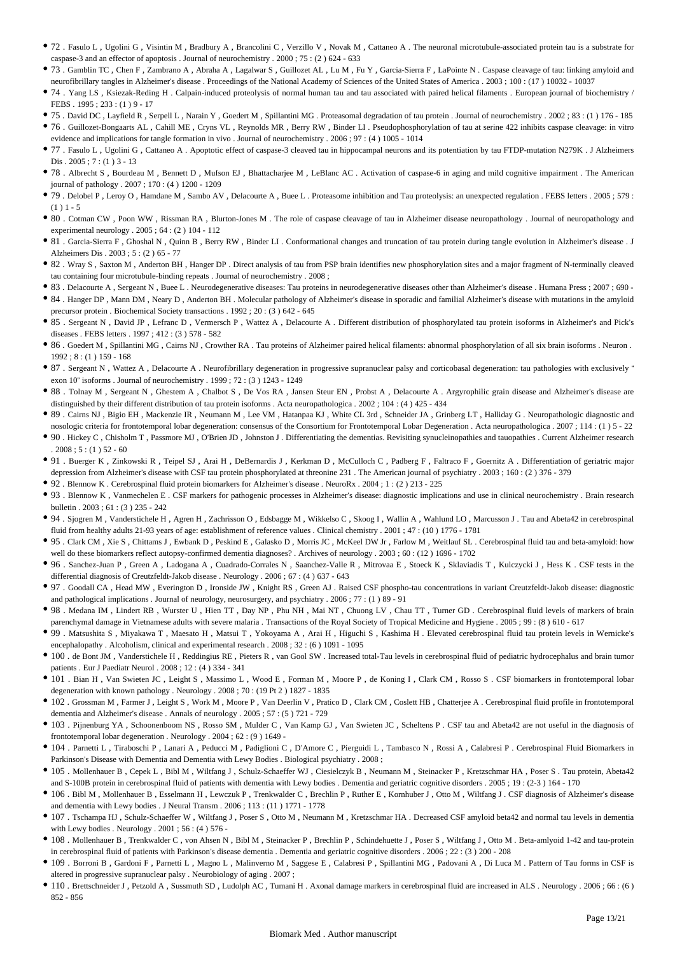- 72 . Fasulo L , Ugolini G , Visintin M , Bradbury A , Brancolini C , Verzillo V , Novak M , Cattaneo A . The neuronal microtubule-associated protein tau is a substrate for caspase-3 and an effector of apoptosis . Journal of neurochemistry . 2000 ; 75 : (2 ) 624 - 633
- 73 . Gamblin TC , Chen F , Zambrano A , Abraha A , Lagalwar S , Guillozet AL , Lu M , Fu Y , Garcia-Sierra F , LaPointe N . Caspase cleavage of tau: linking amyloid and neurofibrillary tangles in Alzheimer's disease . Proceedings of the National Academy of Sciences of the United States of America . 2003 ; 100 : (17 ) 10032 - 10037
- 74 . Yang LS , Ksiezak-Reding H . Calpain-induced proteolysis of normal human tau and tau associated with paired helical filaments . European journal of biochemistry / FEBS . 1995 ; 233 : (1 ) 9 - 17
- 75 . David DC , Layfield R , Serpell L , Narain Y , Goedert M , Spillantini MG . Proteasomal degradation of tau protein . Journal of neurochemistry . 2002 ; 83 : (1 ) 176 185 76 . Guillozet-Bongaarts AL , Cahill ME , Cryns VL , Reynolds MR , Berry RW , Binder LI . Pseudophosphorylation of tau at serine 422 inhibits caspase cleavage: in vitro evidence and implications for tangle formation in vivo . Journal of neurochemistry . 2006 ; 97 : (4 ) 1005 - 1014
- 77 . Fasulo L, Ugolini G, Cattaneo A. Apoptotic effect of caspase-3 cleaved tau in hippocampal neurons and its potentiation by tau FTDP-mutation N279K . J Alzheimers Dis . 2005 ; 7 : (1 ) 3 - 13
- 78 . Albrecht S , Bourdeau M , Bennett D , Mufson EJ , Bhattacharjee M , LeBlanc AC . Activation of caspase-6 in aging and mild cognitive impairment . The American journal of pathology . 2007 ; 170 : (4 ) 1200 - 1209
- 79 . Delobel P , Leroy O , Hamdane M , Sambo AV , Delacourte A , Buee L . Proteasome inhibition and Tau proteolysis: an unexpected regulation . FEBS letters . 2005 ; 579 :  $(1) 1 - 5$
- 80 . Cotman CW , Poon WW , Rissman RA , Blurton-Jones M . The role of caspase cleavage of tau in Alzheimer disease neuropathology . Journal of neuropathology and experimental neurology . 2005 ; 64 : (2 ) 104 - 112
- 81 . Garcia-Sierra F , Ghoshal N , Quinn B , Berry RW , Binder LI . Conformational changes and truncation of tau protein during tangle evolution in Alzheimer's disease . J Alzheimers Dis . 2003 ; 5 : (2 ) 65 - 77
- 82 . Wray S , Saxton M , Anderton BH , Hanger DP . Direct analysis of tau from PSP brain identifies new phosphorylation sites and a major fragment of N-terminally cleaved tau containing four microtubule-binding repeats . Journal of neurochemistry . 2008 ;
- 83 . Delacourte A , Sergeant N , Buee L . Neurodegenerative diseases: Tau proteins in neurodegenerative diseases other than Alzheimer's disease . Humana Press ; 2007 ; 690 -
- 84 . Hanger DP , Mann DM , Neary D , Anderton BH . Molecular pathology of Alzheimer's disease in sporadic and familial Alzheimer's disease with mutations in the amyloid precursor protein . Biochemical Society transactions . 1992 ; 20 : (3 ) 642 - 645
- 85 . Sergeant N , David JP , Lefranc D , Vermersch P , Wattez A , Delacourte A . Different distribution of phosphorylated tau protein isoforms in Alzheimer's and Pick's diseases . FEBS letters . 1997 ; 412 : (3 ) 578 - 582
- 86 . Goedert M , Spillantini MG , Cairns NJ , Crowther RA . Tau proteins of Alzheimer paired helical filaments: abnormal phosphorylation of all six brain isoforms . Neuron .  $1992 \cdot 8 \cdot (1) 159 - 168$
- 87 . Sergeant N , Wattez A , Delacourte A . Neurofibrillary degeneration in progressive supranuclear palsy and corticobasal degeneration: tau pathologies with exclusively " exon 10" isoforms . Journal of neurochemistry . 1999 ; 72 : (3 ) 1243 - 1249
- 88 . Tolnay M , Sergeant N , Ghestem A , Chalbot S , De Vos RA , Jansen Steur EN , Probst A , Delacourte A . Argyrophilic grain disease and Alzheimer's disease are distinguished by their different distribution of tau protein isoforms . Acta neuropathologica . 2002 ; 104 : (4 ) 425 - 434
- 89 . Cairns NJ , Bigio EH , Mackenzie IR , Neumann M , Lee VM , Hatanpaa KJ , White CL 3rd , Schneider JA , Grinberg LT , Halliday G . Neuropathologic diagnostic and nosologic criteria for frontotemporal lobar degeneration: consensus of the Consortium for Frontotemporal Lobar Degeneration . Acta neuropathologica . 2007 ; 114 : (1 ) 5 - 22
- 90 . Hickey C , Chisholm T , Passmore MJ , O'Brien JD , Johnston J . Differentiating the dementias. Revisiting synucleinopathies and tauopathies . Current Alzheimer research  $.2008:5: (1) 52 - 60$
- 91 . Buerger K , Zinkowski R , Teipel SJ , Arai H , DeBernardis J , Kerkman D , McCulloch C , Padberg F , Faltraco F , Goernitz A . Differentiation of geriatric major depression from Alzheimer's disease with CSF tau protein phosphorylated at threonine 231 . The American journal of psychiatry . 2003 ; 160 : (2 ) 376 - 379
- 92 . Blennow K . Cerebrospinal fluid protein biomarkers for Alzheimer's disease . NeuroRx . 2004 ; 1 : (2 ) 213 225
- 93 . Blennow K , Vanmechelen E . CSF markers for pathogenic processes in Alzheimer's disease: diagnostic implications and use in clinical neurochemistry . Brain research bulletin . 2003 ; 61 : (3 ) 235 - 242
- 94 . Sjogren M , Vanderstichele H , Agren H , Zachrisson O , Edsbagge M , Wikkelso C , Skoog I , Wallin A , Wahlund LO , Marcusson J . Tau and Abeta42 in cerebrospinal fluid from healthy adults 21-93 years of age: establishment of reference values . Clinical chemistry . 2001 ; 47 : (10 ) 1776 - 1781
- 95 . Clark CM , Xie S , Chittams J , Ewbank D , Peskind E , Galasko D , Morris JC , McKeel DW Jr , Farlow M , Weitlauf SL . Cerebrospinal fluid tau and beta-amyloid: how well do these biomarkers reflect autopsy-confirmed dementia diagnoses? . Archives of neurology . 2003 ; 60 : (12 ) 1696 - 1702
- 96 . Sanchez-Juan P , Green A , Ladogana A , Cuadrado-Corrales N , Saanchez-Valle R , Mitrovaa E , Stoeck K , Sklaviadis T , Kulczycki J , Hess K . CSF tests in the differential diagnosis of Creutzfeldt-Jakob disease . Neurology . 2006 ; 67 : (4 ) 637 - 643
- 97 . Goodall CA , Head MW , Everington D , Ironside JW , Knight RS , Green AJ . Raised CSF phospho-tau concentrations in variant Creutzfeldt-Jakob disease: diagnostic and pathological implications . Journal of neurology, neurosurgery, and psychiatry . 2006 ; 77 : (1 ) 89 - 91
- 98 . Medana IM , Lindert RB , Wurster U , Hien TT , Day NP , Phu NH , Mai NT , Chuong LV , Chau TT , Turner GD . Cerebrospinal fluid levels of markers of brain parenchymal damage in Vietnamese adults with severe malaria . Transactions of the Royal Society of Tropical Medicine and Hygiene . 2005 ; 99 : (8 ) 610 - 617
- 99 . Matsushita S , Miyakawa T , Maesato H , Matsui T , Yokoyama A , Arai H , Higuchi S , Kashima H . Elevated cerebrospinal fluid tau protein levels in Wernicke's encephalopathy . Alcoholism, clinical and experimental research . 2008 ; 32 : (6 ) 1091 - 1095
- 100 . de Bont JM , Vanderstichele H , Reddingius RE , Pieters R , van Gool SW . Increased total-Tau levels in cerebrospinal fluid of pediatric hydrocephalus and brain tumor patients . Eur J Paediatr Neurol . 2008 ; 12 : (4 ) 334 - 341
- 101 . Bian H , Van Swieten JC , Leight S , Massimo L , Wood E , Forman M , Moore P , de Koning I , Clark CM , Rosso S . CSF biomarkers in frontotemporal lobar degeneration with known pathology Neurology  $2008 \cdot 70 \cdot (19 \text{ Pt} 2)$  1827 - 1835
- 102 . Grossman M , Farmer J , Leight S , Work M , Moore P , Van Deerlin V , Pratico D , Clark CM , Coslett HB , Chatterjee A . Cerebrospinal fluid profile in frontotemporal dementia and Alzheimer's disease . Annals of neurology . 2005 ; 57 : (5 ) 721 - 729
- 103 . Pijnenburg YA , Schoonenboom NS , Rosso SM , Mulder C , Van Kamp GJ , Van Swieten JC , Scheltens P . CSF tau and Abeta42 are not useful in the diagnosis of frontotemporal lobar degeneration . Neurology . 2004 ; 62 : (9 ) 1649 -
- 104 . Parnetti L , Tiraboschi P , Lanari A , Peducci M , Padiglioni C , D'Amore C , Pierguidi L , Tambasco N , Rossi A , Calabresi P . Cerebrospinal Fluid Biomarkers in Parkinson's Disease with Dementia and Dementia with Lewy Bodies . Biological psychiatry . 2008 ;
- 105 . Mollenhauer B , Cepek L , Bibl M , Wiltfang J , Schulz-Schaeffer WJ , Ciesielczyk B , Neumann M , Steinacker P , Kretzschmar HA , Poser S . Tau protein, Abeta42 and S-100B protein in cerebrospinal fluid of patients with dementia with Lewy bodies . Dementia and geriatric cognitive disorders . 2005 ; 19 : (2-3 ) 164 - 170
- 106 . Bibl M , Mollenhauer B , Esselmann H , Lewczuk P , Trenkwalder C , Brechlin P , Ruther E , Kornhuber J , Otto M , Wiltfang J . CSF diagnosis of Alzheimer's disease and dementia with Lewy bodies . J Neural Transm . 2006 ; 113 : (11 ) 1771 - 1778
- 107 . Tschampa HJ , Schulz-Schaeffer W , Wiltfang J , Poser S , Otto M , Neumann M , Kretzschmar HA . Decreased CSF amyloid beta42 and normal tau levels in dementia with Lewy bodies . Neurology . 2001 ; 56 : (4 ) 576 -
- 108 . Mollenhauer B , Trenkwalder C, von Ahsen N, Bibl M, Steinacker P, Brechlin P, Schindehuette J, Poser S, Wiltfang J, Otto M, Beta-amlyoid 1-42 and tau-protein in cerebrospinal fluid of patients with Parkinson's disease dementia . Dementia and geriatric cognitive disorders . 2006 ; 22 : (3 ) 200 - 208
- 109 . Borroni B , Gardoni F , Parnetti L , Magno L , Malinverno M , Saggese E , Calabresi P , Spillantini MG , Padovani A , Di Luca M . Pattern of Tau forms in CSF is altered in progressive supranuclear palsy . Neurobiology of aging . 2007 ;
- 110 . Brettschneider J , Petzold A , Sussmuth SD , Ludolph AC , Tumani H . Axonal damage markers in cerebrospinal fluid are increased in ALS . Neurology . 2006 ; 66 : (6 ) 852 - 856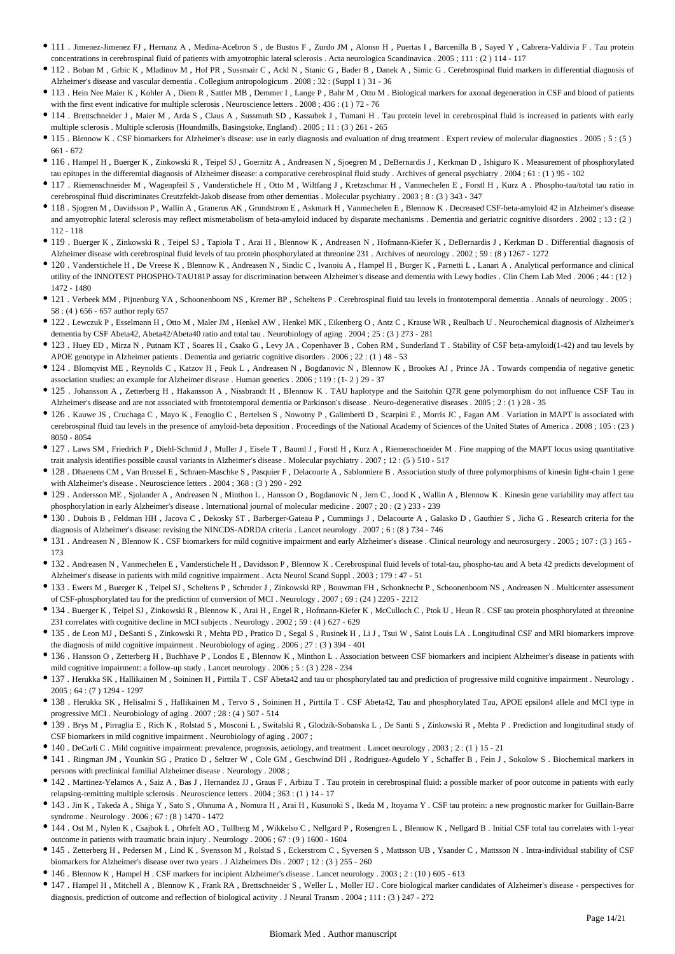- 111 . Jimenez-Jimenez FJ , Hernanz A , Medina-Acebron S , de Bustos F , Zurdo JM , Alonso H , Puertas I , Barcenilla B , Sayed Y , Cabrera-Valdivia F . Tau protein concentrations in cerebrospinal fluid of patients with amyotrophic lateral sclerosis . Acta neurologica Scandinavica . 2005 ; 111 : (2 ) 114 - 117
- 112 . Boban M , Grbic K , Mladinov M , Hof PR , Sussmair C , Ackl N , Stanic G , Bader B , Danek A , Simic G . Cerebrospinal fluid markers in differential diagnosis of Alzheimer's disease and vascular dementia . Collegium antropologicum . 2008 ; 32 : (Suppl 1 ) 31 - 36
- 113 . Hein Nee Maier K , Kohler A , Diem R , Sattler MB , Demmer I , Lange P , Bahr M , Otto M . Biological markers for axonal degeneration in CSF and blood of patients with the first event indicative for multiple sclerosis . Neuroscience letters . 2008 ; 436 : (1) 72 - 76
- <sup>114</sup> . Brettschneider J, Maier M, Arda S, Claus A, Sussmuth SD, Kassubek J, Tumani H. Tau protein level in cerebrospinal fluid is increased in patients with early multiple sclerosis . Multiple sclerosis (Houndmills, Basingstoke, England) . 2005 ; 11 : (3 ) 261 - 265
- 115 . Blennow K . CSF biomarkers for Alzheimer's disease: use in early diagnosis and evaluation of drug treatment . Expert review of molecular diagnostics . 2005 ; 5 : (5 ) 661 - 672
- 116 . Hampel H , Buerger K , Zinkowski R , Teipel SJ , Goernitz A , Andreasen N , Sjoegren M , DeBernardis J , Kerkman D , Ishiguro K . Measurement of phosphorylated tau epitopes in the differential diagnosis of Alzheimer disease: a comparative cerebrospinal fluid study . Archives of general psychiatry . 2004 ; 61 : (1 ) 95 - 102
- 117 . Riemenschneider M , Wagenpfeil S , Vanderstichele H , Otto M , Wiltfang J , Kretzschmar H , Vanmechelen E , Forstl H , Kurz A . Phospho-tau/total tau ratio in cerebrospinal fluid discriminates Creutzfeldt-Jakob disease from other dementias . Molecular psychiatry . 2003 ; 8 : (3 ) 343 - 347
- 118 . Sjogren M , Davidsson P , Wallin A , Granerus AK , Grundstrom E , Askmark H , Vanmechelen E , Blennow K . Decreased CSF-beta-amyloid 42 in Alzheimer's disease and amyotrophic lateral sclerosis may reflect mismetabolism of beta-amyloid induced by disparate mechanisms . Dementia and geriatric cognitive disorders . 2002 ; 13 : (2) 112 - 118
- 119 . Buerger K , Zinkowski R , Teipel SJ , Tapiola T , Arai H , Blennow K , Andreasen N , Hofmann-Kiefer K , DeBernardis J , Kerkman D . Differential diagnosis of Alzheimer disease with cerebrospinal fluid levels of tau protein phosphorylated at threonine 231 . Archives of neurology . 2002 ; 59 : (8 ) 1267 - 1272
- 120 . Vanderstichele H , De Vreese K , Blennow K , Andreasen N , Sindic C , Ivanoiu A , Hampel H , Burger K , Parnetti L , Lanari A . Analytical performance and clinical utility of the INNOTEST PHOSPHO-TAU181P assay for discrimination between Alzheimer's disease and dementia with Lewy bodies . Clin Chem Lab Med . 2006 ; 44 : (12 ) 1472 - 1480
- 121 . Verbeek MM , Pijnenburg YA , Schoonenboom NS , Kremer BP , Scheltens P . Cerebrospinal fluid tau levels in frontotemporal dementia . Annals of neurology . 2005 ; 58 : (4 ) 656 - 657 author reply 657
- 122 . Lewczuk P , Esselmann H , Otto M , Maler JM , Henkel AW , Henkel MK , Eikenberg O , Antz C , Krause WR , Reulbach U . Neurochemical diagnosis of Alzheimer's dementia by CSF Abeta42, Abeta42/Abeta40 ratio and total tau . Neurobiology of aging . 2004 ; 25 : (3 ) 273 - 281
- 123 . Huey ED , Mirza N , Putnam KT , Soares H , Csako G , Levy JA , Copenhaver B , Cohen RM , Sunderland T . Stability of CSF beta-amyloid(1-42) and tau levels by APOE genotype in Alzheimer patients . Dementia and geriatric cognitive disorders . 2006 ; 22 : (1 ) 48 - 53
- 124 . Blomqvist ME , Reynolds C , Katzov H , Feuk L , Andreasen N , Bogdanovic N , Blennow K , Brookes AJ , Prince JA . Towards compendia of negative genetic association studies: an example for Alzheimer disease . Human genetics . 2006 ; 119 : (1- 2 ) 29 - 37
- 125 . Johansson A , Zetterberg H , Hakansson A , Nissbrandt H , Blennow K . TAU haplotype and the Saitohin Q7R gene polymorphism do not influence CSF Tau in Alzheimer's disease and are not associated with frontotemporal dementia or Parkinson's disease . Neuro-degenerative diseases . 2005 ; 2 : (1 ) 28 - 35
- 126 . Kauwe JS , Cruchaga C , Mayo K , Fenoglio C , Bertelsen S , Nowotny P , Galimberti D , Scarpini E , Morris JC , Fagan AM . Variation in MAPT is associated with cerebrospinal fluid tau levels in the presence of amyloid-beta deposition . Proceedings of the National Academy of Sciences of the United States of America . 2008 ; 105 : (23 ) 8050 - 8054
- 127 . Laws SM , Friedrich P , Diehl-Schmid J , Muller J , Eisele T , Bauml J , Forstl H , Kurz A , Riemenschneider M . Fine mapping of the MAPT locus using quantitative trait analysis identifies possible causal variants in Alzheimer's disease . Molecular psychiatry . 2007 ; 12 : (5 ) 510 - 517
- 128 . Dhaenens CM , Van Brussel E , Schraen-Maschke S , Pasquier F , Delacourte A , Sablonniere B . Association study of three polymorphisms of kinesin light-chain 1 gene with Alzheimer's disease . Neuroscience letters . 2004 ; 368 : (3 ) 290 - 292
- 129 . Andersson ME , Sjolander A , Andreasen N , Minthon L , Hansson O , Bogdanovic N , Jern C , Jood K , Wallin A , Blennow K . Kinesin gene variability may affect tau phosphorylation in early Alzheimer's disease . International journal of molecular medicine . 2007 ; 20 : (2 ) 233 - 239
- 130 . Dubois B , Feldman HH , Jacova C , Dekosky ST , Barberger-Gateau P , Cummings J , Delacourte A , Galasko D , Gauthier S , Jicha G . Research criteria for the diagnosis of Alzheimer's disease: revising the NINCDS-ADRDA criteria . Lancet neurology . 2007 ; 6 : (8 ) 734 - 746
- 131 . Andreasen N , Blennow K . CSF biomarkers for mild cognitive impairment and early Alzheimer's disease . Clinical neurology and neurosurgery . 2005 ; 107 : (3 ) 165 173
- 132 . Andreasen N , Vanmechelen E , Vanderstichele H , Davidsson P , Blennow K . Cerebrospinal fluid levels of total-tau, phospho-tau and A beta 42 predicts development of Alzheimer's disease in patients with mild cognitive impairment . Acta Neurol Scand Suppl . 2003 ; 179 : 47 - 51
- 133 . Ewers M , Buerger K , Teipel SJ , Scheltens P , Schroder J , Zinkowski RP , Bouwman FH , Schonknecht P , Schoonenboom NS , Andreasen N . Multicenter assessment of CSF-phosphorylated tau for the prediction of conversion of MCI . Neurology . 2007 ; 69 : (24 ) 2205 - 2212
- 134 . Buerger K , Teipel SJ , Zinkowski R , Blennow K , Arai H , Engel R , Hofmann-Kiefer K , McCulloch C , Ptok U , Heun R . CSF tau protein phosphorylated at threonine 231 correlates with cognitive decline in MCI subjects . Neurology . 2002 ; 59 : (4 ) 627 - 629
- 135 . de Leon MJ , DeSanti S , Zinkowski R , Mehta PD , Pratico D , Segal S , Rusinek H , Li J , Tsui W , Saint Louis LA . Longitudinal CSF and MRI biomarkers improve the diagnosis of mild cognitive impairment . Neurobiology of aging . 2006 ; 27 : (3 ) 394 - 401
- 136 . Hansson O , Zetterberg H , Buchhave P , Londos E , Blennow K , Minthon L . Association between CSF biomarkers and incipient Alzheimer's disease in patients with mild cognitive impairment: a follow-up study . Lancet neurology . 2006 ; 5 : (3 ) 228 - 234
- 137 . Herukka SK , Hallikainen M , Soininen H , Pirttila T . CSF Abeta42 and tau or phosphorylated tau and prediction of progressive mild cognitive impairment . Neurology .  $2005 \cdot 64 \cdot (7)$  1294 - 1297
- 138 . Herukka SK , Helisalmi S , Hallikainen M , Tervo S , Soininen H , Pirttila T . CSF Abeta42, Tau and phosphorylated Tau, APOE epsilon4 allele and MCI type in progressive MCI . Neurobiology of aging . 2007 ; 28 : (4 ) 507 - 514
- 139 . Brys M , Pirraglia E , Rich K , Rolstad S , Mosconi L , Switalski R , Glodzik-Sobanska L , De Santi S , Zinkowski R , Mehta P . Prediction and longitudinal study of CSF biomarkers in mild cognitive impairment . Neurobiology of aging . 2007 ;
- 140 . DeCarli C . Mild cognitive impairment: prevalence, prognosis, aetiology, and treatment . Lancet neurology . 2003 ; 2 : (1 ) 15 21
- 141 . Ringman JM , Younkin SG , Pratico D , Seltzer W , Cole GM , Geschwind DH , Rodriguez-Agudelo Y , Schaffer B , Fein J , Sokolow S . Biochemical markers in persons with preclinical familial Alzheimer disease . Neurology . 2008 ;
- 142 . Martinez-Yelamos A , Saiz A , Bas J , Hernandez JJ , Graus F , Arbizu T . Tau protein in cerebrospinal fluid: a possible marker of poor outcome in patients with early relapsing-remitting multiple sclerosis . Neuroscience letters . 2004 ; 363 : (1 ) 14 - 17
- 143 . Jin K , Takeda A , Shiga Y , Sato S , Ohnuma A , Nomura H , Arai H , Kusunoki S , Ikeda M , Itoyama Y . CSF tau protein: a new prognostic marker for Guillain-Barre syndrome . Neurology . 2006 ; 67 : (8 ) 1470 - 1472
- 144 . Ost M , Nylen K , Csajbok L , Ohrfelt AO , Tullberg M , Wikkelso C , Nellgard P , Rosengren L , Blennow K , Nellgard B . Initial CSF total tau correlates with 1-year outcome in patients with traumatic brain injury . Neurology . 2006 ; 67 : (9 ) 1600 - 1604
- 145 . Zetterberg H , Pedersen M , Lind K , Svensson M , Rolstad S , Eckerstrom C , Syversen S , Mattsson UB , Ysander C , Mattsson N . Intra-individual stability of CSF biomarkers for Alzheimer's disease over two years . J Alzheimers Dis . 2007 ; 12 : (3 ) 255 - 260
- 146 . Blennow K , Hampel H . CSF markers for incipient Alzheimer's disease . Lancet neurology . 2003 ; 2 : (10 ) 605 613
- 147 . Hampel H , Mitchell A , Blennow K , Frank RA , Brettschneider S , Weller L , Moller HJ . Core biological marker candidates of Alzheimer's disease perspectives for diagnosis, prediction of outcome and reflection of biological activity . J Neural Transm . 2004 ; 111 : (3 ) 247 - 272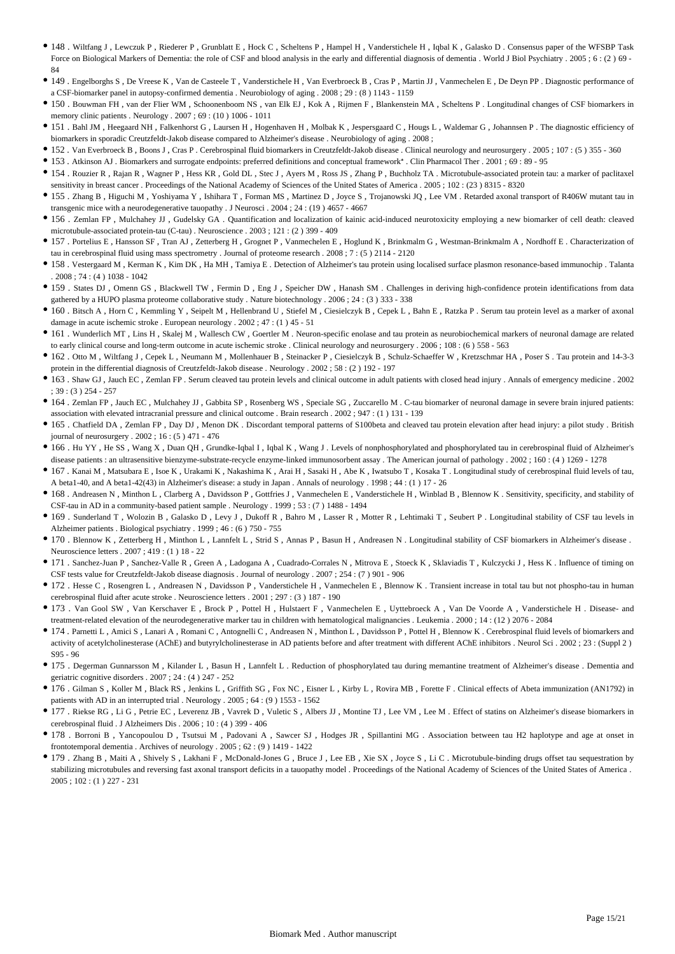- 148 . Wiltfang J , Lewczuk P , Riederer P , Grunblatt E , Hock C , Scheltens P , Hampel H , Vanderstichele H , Iqbal K , Galasko D . Consensus paper of the WFSBP Task Force on Biological Markers of Dementia: the role of CSF and blood analysis in the early and differential diagnosis of dementia . World J Biol Psychiatry . 2005 ; 6 : (2 ) 69 -84
- 149 . Engelborghs S , De Vreese K , Van de Casteele T , Vanderstichele H , Van Everbroeck B , Cras P , Martin JJ , Vanmechelen E , De Deyn PP . Diagnostic performance of a CSF-biomarker panel in autopsy-confirmed dementia . Neurobiology of aging . 2008 ; 29 : (8 ) 1143 - 1159
- 150 . Bouwman FH , van der Flier WM , Schoonenboom NS , van Elk EJ , Kok A , Rijmen F , Blankenstein MA , Scheltens P . Longitudinal changes of CSF biomarkers in memory clinic patients . Neurology . 2007 ; 69 : (10 ) 1006 - 1011
- 151 . Bahl JM , Heegaard NH , Falkenhorst G , Laursen H , Hogenhaven H , Molbak K , Jespersgaard C , Hougs L , Waldemar G , Johannsen P . The diagnostic efficiency of biomarkers in sporadic Creutzfeldt-Jakob disease compared to Alzheimer's disease . Neurobiology of aging . 2008 ;
- 152 . Van Everbroeck B , Boons J , Cras P . Cerebrospinal fluid biomarkers in Creutzfeldt-Jakob disease . Clinical neurology and neurosurgery . 2005 ; 107 : (5 ) 355 360
- 153 . Atkinson AJ . Biomarkers and surrogate endpoints: preferred definitions and conceptual framework\* . Clin Pharmacol Ther . 2001 ; 69 : 89 95
- 154 . Rouzier R , Rajan R , Wagner P , Hess KR , Gold DL , Stec J , Ayers M , Ross JS , Zhang P , Buchholz TA . Microtubule-associated protein tau: a marker of paclitaxel sensitivity in breast cancer . Proceedings of the National Academy of Sciences of the United States of America . 2005 ; 102 : (23 ) 8315 - 8320
- 155 . Zhang B , Higuchi M , Yoshiyama Y , Ishihara T , Forman MS , Martinez D , Joyce S , Trojanowski JQ , Lee VM . Retarded axonal transport of R406W mutant tau in transgenic mice with a neurodegenerative tauopathy . J Neurosci . 2004 ; 24 : (19 ) 4657 - 4667
- 156 . Zemlan FP , Mulchahey JJ , Gudelsky GA . Quantification and localization of kainic acid-induced neurotoxicity employing a new biomarker of cell death: cleaved microtubule-associated protein-tau (C-tau) . Neuroscience . 2003 ; 121 : (2 ) 399 - 409
- 157 . Portelius E , Hansson SF , Tran AJ , Zetterberg H , Grognet P , Vanmechelen E , Hoglund K , Brinkmalm G , Westman-Brinkmalm A , Nordhoff E . Characterization of tau in cerebrospinal fluid using mass spectrometry . Journal of proteome research . 2008 ; 7 : (5 ) 2114 - 2120
- 158 . Vestergaard M , Kerman K , Kim DK , Ha MH , Tamiya E . Detection of Alzheimer's tau protein using localised surface plasmon resonance-based immunochip . Talanta . 2008 ; 74 : (4 ) 1038 - 1042
- 159 . States DJ , Omenn GS , Blackwell TW , Fermin D , Eng J , Speicher DW , Hanash SM . Challenges in deriving high-confidence protein identifications from data gathered by a HUPO plasma proteome collaborative study . Nature biotechnology . 2006 ; 24 : (3 ) 333 - 338
- 160 . Bitsch A , Horn C , Kemmling Y , Seipelt M , Hellenbrand U , Stiefel M , Ciesielczyk B , Cepek L , Bahn E , Ratzka P . Serum tau protein level as a marker of axonal damage in acute ischemic stroke . European neurology . 2002 ; 47 : (1 ) 45 - 51
- 161 . Wunderlich MT , Lins H , Skalej M , Wallesch CW , Goertler M . Neuron-specific enolase and tau protein as neurobiochemical markers of neuronal damage are related to early clinical course and long-term outcome in acute ischemic stroke . Clinical neurology and neurosurgery . 2006 ; 108 : (6 ) 558 - 563
- 162 . Otto M , Wiltfang J , Cepek L , Neumann M , Mollenhauer B , Steinacker P , Ciesielczyk B , Schulz-Schaeffer W , Kretzschmar HA , Poser S . Tau protein and 14-3-3 protein in the differential diagnosis of Creutzfeldt-Jakob disease . Neurology . 2002 ; 58 : (2 ) 192 - 197
- 163 . Shaw GJ , Jauch EC , Zemlan FP . Serum cleaved tau protein levels and clinical outcome in adult patients with closed head injury . Annals of emergency medicine . 2002 ; 39 : (3 ) 254 - 257
- 164 . Zemlan FP , Jauch EC , Mulchahey JJ , Gabbita SP , Rosenberg WS , Speciale SG , Zuccarello M . C-tau biomarker of neuronal damage in severe brain injured patients: association with elevated intracranial pressure and clinical outcome . Brain research . 2002 ; 947 : (1 ) 131 - 139
- 165 . Chatfield DA , Zemlan FP , Day DJ , Menon DK . Discordant temporal patterns of S100beta and cleaved tau protein elevation after head injury: a pilot study . British journal of neurosurgery  $2002 \cdot 16 \cdot (5)$  471 - 476
- 166 . Hu YY , He SS , Wang X , Duan QH , Grundke-Iqbal I , Iqbal K , Wang J . Levels of nonphosphorylated and phosphorylated tau in cerebrospinal fluid of Alzheimer's disease patients : an ultrasensitive bienzyme-substrate-recycle enzyme-linked immunosorbent assay . The American journal of pathology . 2002 ; 160 : (4 ) 1269 - 1278
- 167 . Kanai M , Matsubara E , Isoe K , Urakami K , Nakashima K , Arai H , Sasaki H , Abe K , Iwatsubo T , Kosaka T . Longitudinal study of cerebrospinal fluid levels of tau, A beta1-40, and A beta1-42(43) in Alzheimer's disease: a study in Japan . Annals of neurology . 1998 ; 44 : (1 ) 17 - 26
- 168 . Andreasen N , Minthon L , Clarberg A , Davidsson P , Gottfries J , Vanmechelen E , Vanderstichele H , Winblad B , Blennow K . Sensitivity, specificity, and stability of CSF-tau in AD in a community-based patient sample . Neurology . 1999 ; 53 : (7 ) 1488 - 1494
- 169 . Sunderland T , Wolozin B , Galasko D , Levy J , Dukoff R , Bahro M , Lasser R , Motter R , Lehtimaki T , Seubert P . Longitudinal stability of CSF tau levels in Alzheimer patients . Biological psychiatry . 1999 ; 46 : (6 ) 750 - 755
- 170 . Blennow K , Zetterberg H , Minthon L , Lannfelt L , Strid S , Annas P , Basun H , Andreasen N . Longitudinal stability of CSF biomarkers in Alzheimer's disease . Neuroscience letters . 2007 ; 419 : (1 ) 18 - 22
- 171 . Sanchez-Juan P , Sanchez-Valle R , Green A , Ladogana A , Cuadrado-Corrales N , Mitrova E , Stoeck K , Sklaviadis T , Kulczycki J , Hess K . Influence of timing on CSF tests value for Creutzfeldt-Jakob disease diagnosis . Journal of neurology . 2007 ; 254 : (7 ) 901 - 906
- 172 . Hesse C , Rosengren L , Andreasen N , Davidsson P , Vanderstichele H , Vanmechelen E , Blennow K . Transient increase in total tau but not phospho-tau in human cerebrospinal fluid after acute stroke . Neuroscience letters . 2001 ; 297 : (3 ) 187 - 190
- 173 . Van Gool SW , Van Kerschaver E , Brock P , Pottel H , Hulstaert F , Vanmechelen E , Uyttebroeck A , Van De Voorde A , Vanderstichele H . Disease- and treatment-related elevation of the neurodegenerative marker tau in children with hematological malignancies . Leukemia . 2000 ; 14 : (12 ) 2076 - 2084
- 174 . Parnetti L , Amici S , Lanari A , Romani C , Antognelli C , Andreasen N , Minthon L , Davidsson P , Pottel H , Blennow K . Cerebrospinal fluid levels of biomarkers and activity of acetylcholinesterase (AChE) and butyrylcholinesterase in AD patients before and after treatment with different AChE inhibitors . Neurol Sci . 2002 : 23 : (Suppl 2) S95 - 96
- 175 . Degerman Gunnarsson M , Kilander L , Basun H , Lannfelt L . Reduction of phosphorylated tau during memantine treatment of Alzheimer's disease . Dementia and geriatric cognitive disorders . 2007 ; 24 : (4 ) 247 - 252
- 176 . Gilman S , Koller M , Black RS , Jenkins L , Griffith SG , Fox NC , Eisner L , Kirby L , Rovira MB , Forette F . Clinical effects of Abeta immunization (AN1792) in patients with AD in an interrupted trial . Neurology . 2005 ; 64 : (9 ) 1553 - 1562
- 177 . Riekse RG , Li G , Petrie EC , Leverenz JB , Vavrek D , Vuletic S , Albers JJ , Montine TJ , Lee VM , Lee M . Effect of statins on Alzheimer's disease biomarkers in cerebrospinal fluid . J Alzheimers Dis . 2006 ; 10 : (4 ) 399 - 406
- 178 . Borroni B , Yancopoulou D , Tsutsui M , Padovani A , Sawcer SJ , Hodges JR , Spillantini MG . Association between tau H2 haplotype and age at onset in frontotemporal dementia . Archives of neurology . 2005 ; 62 : (9 ) 1419 - 1422
- 179 . Zhang B , Maiti A , Shively S , Lakhani F , McDonald-Jones G , Bruce J , Lee EB , Xie SX , Joyce S , Li C . Microtubule-binding drugs offset tau sequestration by stabilizing microtubules and reversing fast axonal transport deficits in a tauopathy model . Proceedings of the National Academy of Sciences of the United States of America . 2005 ; 102 : (1 ) 227 - 231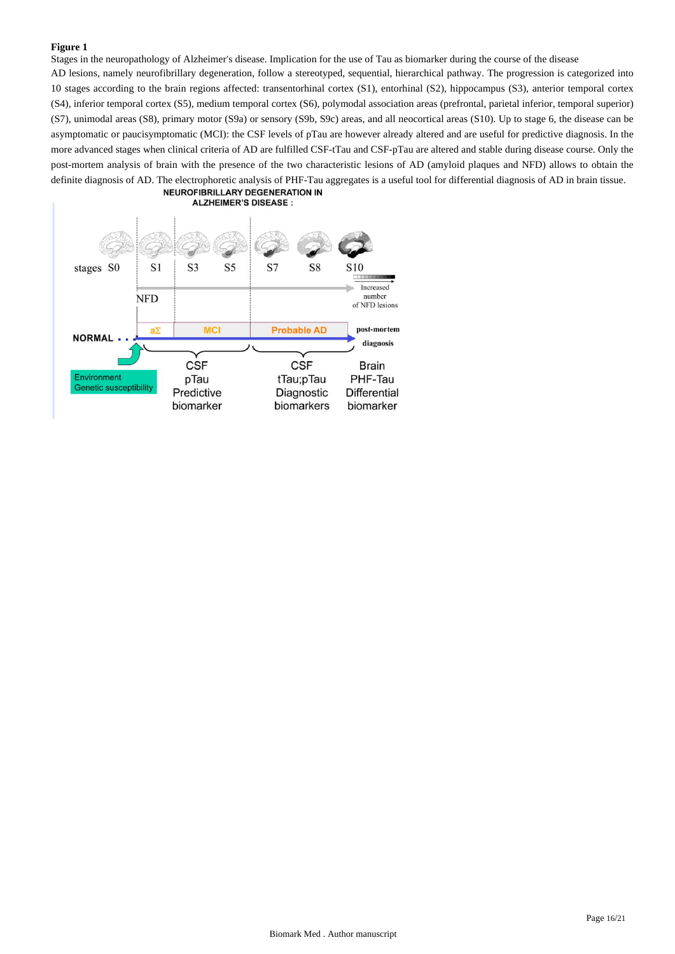Stages in the neuropathology of Alzheimer's disease. Implication for the use of Tau as biomarker during the course of the disease

AD lesions, namely neurofibrillary degeneration, follow a stereotyped, sequential, hierarchical pathway. The progression is categorized into 10 stages according to the brain regions affected: transentorhinal cortex (S1), entorhinal (S2), hippocampus (S3), anterior temporal cortex (S4), inferior temporal cortex (S5), medium temporal cortex (S6), polymodal association areas (prefrontal, parietal inferior, temporal superior) (S7), unimodal areas (S8), primary motor (S9a) or sensory (S9b, S9c) areas, and all neocortical areas (S10). Up to stage 6, the disease can be asymptomatic or paucisymptomatic (MCI): the CSF levels of pTau are however already altered and are useful for predictive diagnosis. In the more advanced stages when clinical criteria of AD are fulfilled CSF-tTau and CSF-pTau are altered and stable during disease course. Only the post-mortem analysis of brain with the presence of the two characteristic lesions of AD (amyloid plaques and NFD) allows to obtain the definite diagnosis of AD. The electrophoretic analysis of PHF-Tau aggregates is a useful tool for differential diagnosis of AD in brain tissue.<br>
NEUROFIBRILLARY DEGENERATION IN

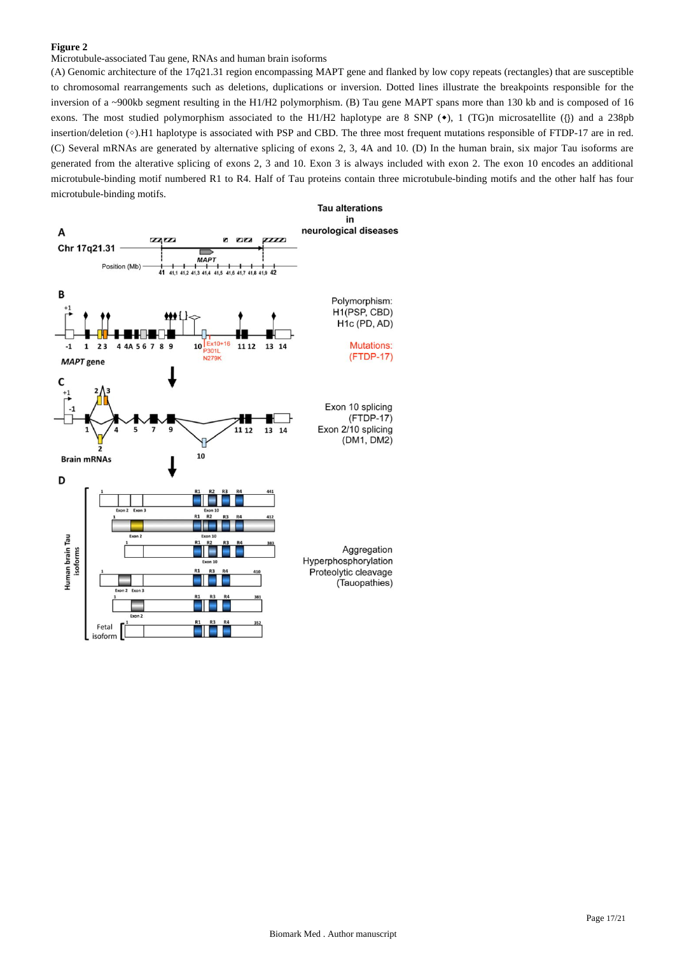Microtubule-associated Tau gene, RNAs and human brain isoforms

(A) Genomic architecture of the 17q21.31 region encompassing MAPT gene and flanked by low copy repeats (rectangles) that are susceptible to chromosomal rearrangements such as deletions, duplications or inversion. Dotted lines illustrate the breakpoints responsible for the inversion of a ~900kb segment resulting in the H1/H2 polymorphism. (B) Tau gene MAPT spans more than 130 kb and is composed of 16 exons. The most studied polymorphism associated to the H1/H2 haplotype are 8 SNP  $(\bullet)$ , 1 (TG)n microsatellite ({}) and a 238pb insertion/deletion (◇).H1 haplotype is associated with PSP and CBD. The three most frequent mutations responsible of FTDP-17 are in red. (C) Several mRNAs are generated by alternative splicing of exons 2, 3, 4A and 10. (D) In the human brain, six major Tau isoforms are generated from the alterative splicing of exons 2, 3 and 10. Exon 3 is always included with exon 2. The exon 10 encodes an additional microtubule-binding motif numbered R1 to R4. Half of Tau proteins contain three microtubule-binding motifs and the other half has four microtubule-binding motifs.

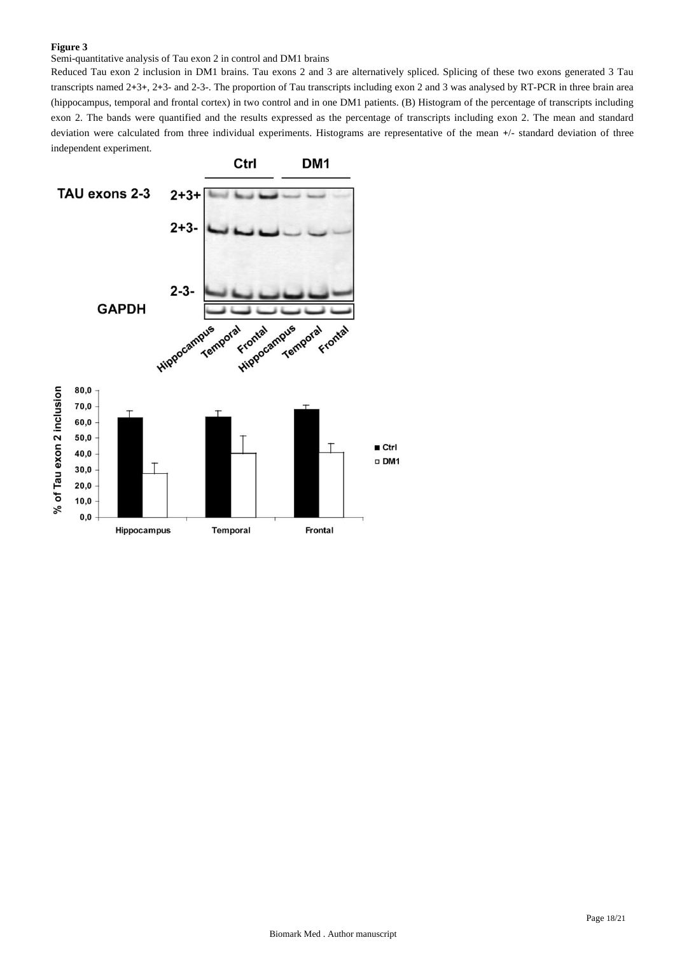Semi-quantitative analysis of Tau exon 2 in control and DM1 brains

Reduced Tau exon 2 inclusion in DM1 brains. Tau exons 2 and 3 are alternatively spliced. Splicing of these two exons generated 3 Tau transcripts named 2+3+, 2+3- and 2-3-. The proportion of Tau transcripts including exon 2 and 3 was analysed by RT-PCR in three brain area (hippocampus, temporal and frontal cortex) in two control and in one DM1 patients. (B) Histogram of the percentage of transcripts including exon 2. The bands were quantified and the results expressed as the percentage of transcripts including exon 2. The mean and standard deviation were calculated from three individual experiments. Histograms are representative of the mean +/- standard deviation of three independent experiment.

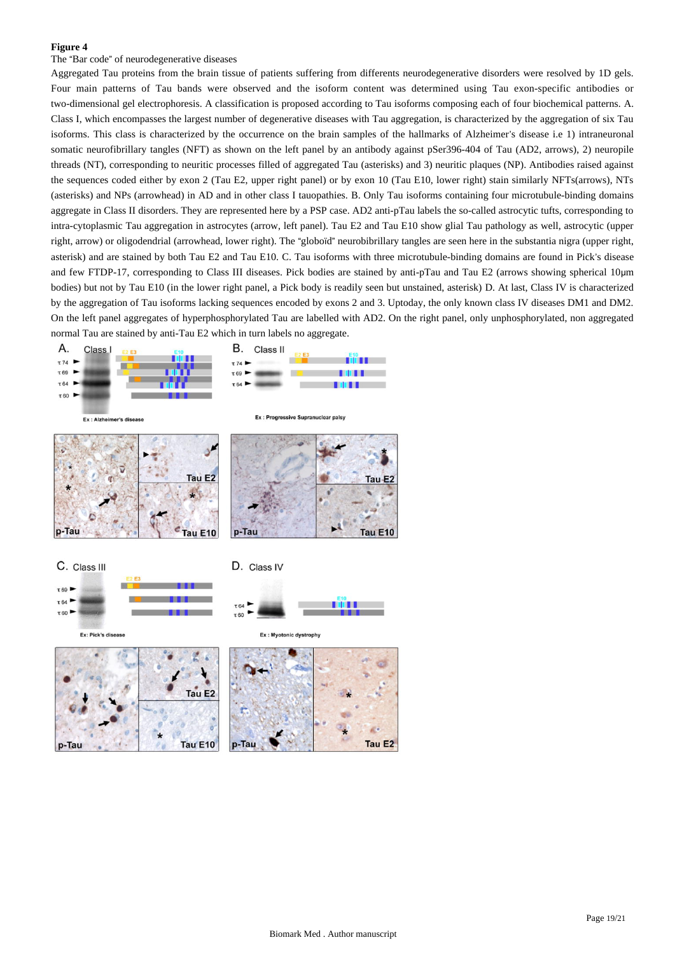## The "Bar code" of neurodegenerative diseases

Aggregated Tau proteins from the brain tissue of patients suffering from differents neurodegenerative disorders were resolved by 1D gels. Four main patterns of Tau bands were observed and the isoform content was determined using Tau exon-specific antibodies or two-dimensional gel electrophoresis. A classification is proposed according to Tau isoforms composing each of four biochemical patterns. A. Class I, which encompasses the largest number of degenerative diseases with Tau aggregation, is characterized by the aggregation of six Tau isoforms. This class is characterized by the occurrence on the brain samples of the hallmarks of Alzheimer's disease i.e 1) intraneuronal somatic neurofibrillary tangles (NFT) as shown on the left panel by an antibody against pSer396-404 of Tau (AD2, arrows), 2) neuropile threads (NT), corresponding to neuritic processes filled of aggregated Tau (asterisks) and 3) neuritic plaques (NP). Antibodies raised against the sequences coded either by exon 2 (Tau E2, upper right panel) or by exon 10 (Tau E10, lower right) stain similarly NFTs(arrows), NTs (asterisks) and NPs (arrowhead) in AD and in other class I tauopathies. B. Only Tau isoforms containing four microtubule-binding domains aggregate in Class II disorders. They are represented here by a PSP case. AD2 anti-pTau labels the so-called astrocytic tufts, corresponding to intra-cytoplasmic Tau aggregation in astrocytes (arrow, left panel). Tau E2 and Tau E10 show glial Tau pathology as well, astrocytic (upper right, arrow) or oligodendrial (arrowhead, lower right). The "globoïd" neurobibrillary tangles are seen here in the substantia nigra (upper right, asterisk) and are stained by both Tau E2 and Tau E10. C. Tau isoforms with three microtubule-binding domains are found in Pick's disease and few FTDP-17, corresponding to Class III diseases. Pick bodies are stained by anti-pTau and Tau E2 (arrows showing spherical 10μm bodies) but not by Tau E10 (in the lower right panel, a Pick body is readily seen but unstained, asterisk) D. At last, Class IV is characterized by the aggregation of Tau isoforms lacking sequences encoded by exons 2 and 3. Uptoday, the only known class IV diseases DM1 and DM2. On the left panel aggregates of hyperphosphorylated Tau are labelled with AD2. On the right panel, only unphosphorylated, non aggregated normal Tau are stained by anti-Tau E2 which in turn labels no aggregate.



Tau E<sub>2</sub>

Tau E10

p-Tau

 $p$ -Tau

Tau E<sub>2</sub>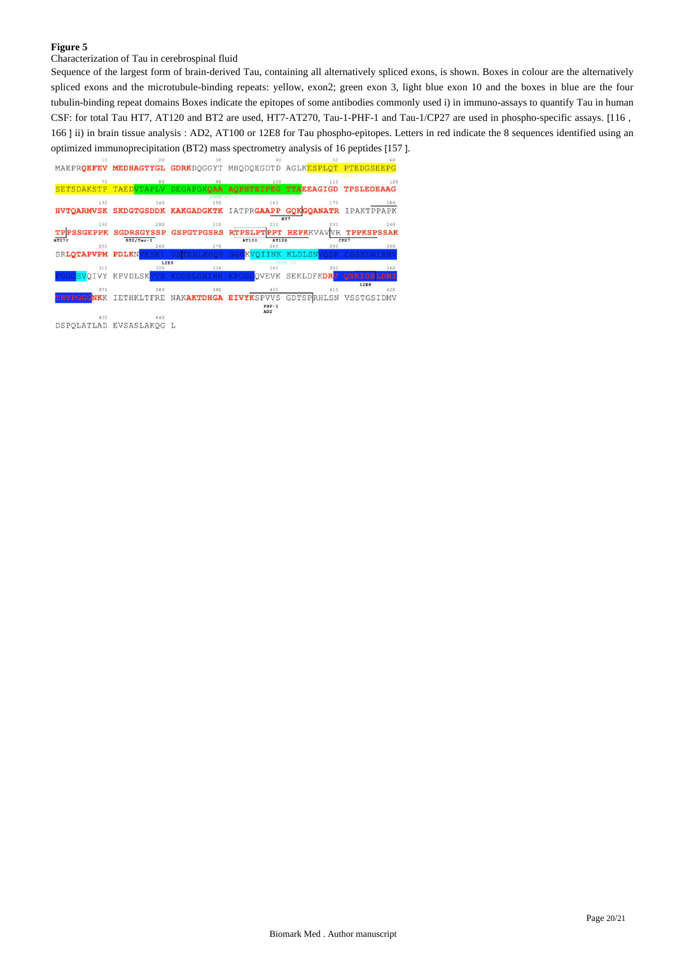Characterization of Tau in cerebrospinal fluid

Sequence of the largest form of brain-derived Tau, containing all alternatively spliced exons, is shown. Boxes in colour are the alternatively spliced exons and the microtubule-binding repeats: yellow, exon2; green exon 3, light blue exon 10 and the boxes in blue are the four tubulin-binding repeat domains Boxes indicate the epitopes of some antibodies commonly used i) in immuno-assays to quantify Tau in human CSF: for total Tau HT7, AT120 and BT2 are used, HT7-AT270, Tau-1-PHF-1 and Tau-1/CP27 are used in phospho-specific assays. [116 , 166 ] ii) in brain tissue analysis : AD2, AT100 or 12E8 for Tau phospho-epitopes. Letters in red indicate the 8 sequences identified using an optimized immunoprecipitation (BT2) mass spectrometry analysis of 16 peptides [157 ].

<sup>10</sup><br>MAEPR**QEFEV MEDHAGTYGL GDRK**DQGGYT MHQDQEGDTD AGLK<mark>ESPLQT PTEDGSEEPG</mark>

|                   |                   |                       |                                  | 110                              | 120               |
|-------------------|-------------------|-----------------------|----------------------------------|----------------------------------|-------------------|
| <b>SETSDAKSTP</b> | TAEDVTAPLV        | <b>DEGAPGKOAA</b>     | AOPHTEIPEG TTAEEAGIGD TPSLEDEAAG |                                  |                   |
|                   |                   | EXON 3                |                                  |                                  |                   |
| 130               | 140               | 150                   | 160                              | 170                              | 180               |
| <b>HVTOARMVSK</b> |                   | SKDGTGSDDK KAKGADGKTK |                                  | IATPRGAAPP GOKGOANATR IPAKTPPAPK |                   |
|                   |                   |                       |                                  | HT7                              |                   |
| 190               | 200               | 210                   | 220                              | 230                              | 240               |
|                   | <b>SGDRSGYSSP</b> | <b>GSPGTPGSRS</b>     | <b>RTPSLPT</b><br>PPT            | <b>REPKKVA</b>                   | <b>TPPKSPSSAK</b> |
| AT270             | $BT2/Tau-1$       |                       | AT120<br>AT100                   |                                  | CP27              |
| 250               | 260               | 270                   | 280                              | 290                              | 300               |
| SRLOTAPVPM        | <b>PDLKNVKSKI</b> | <b>GSTENLKHOP</b>     | GGGKVO:                          | KLDLSNVOSK                       | CCSKDN            |
|                   |                   | <b>12E8</b>           |                                  | EXON 10                          |                   |
| 310               | 320               | 330                   | 340                              | 350                              | 360               |
|                   | KPVDLSKVTS        |                       | <b>VEVK</b>                      | SEKLDFKDRV                       |                   |
|                   |                   |                       |                                  |                                  | 12E8              |
| 370               | 380               | 390                   | 400                              | 410                              | 420               |
|                   | <b>HKLTFRE</b>    |                       | NAKAKTDHGA EIVYKSPVVS            | GDTSPRHLSN                       | VSSTGSIDMV        |
|                   |                   |                       | $PIF-1$                          |                                  |                   |
| 430               | 440               |                       | AD2                              |                                  |                   |
|                   |                   |                       |                                  |                                  |                   |

DSPOLATLAD EVSASLAKOG L